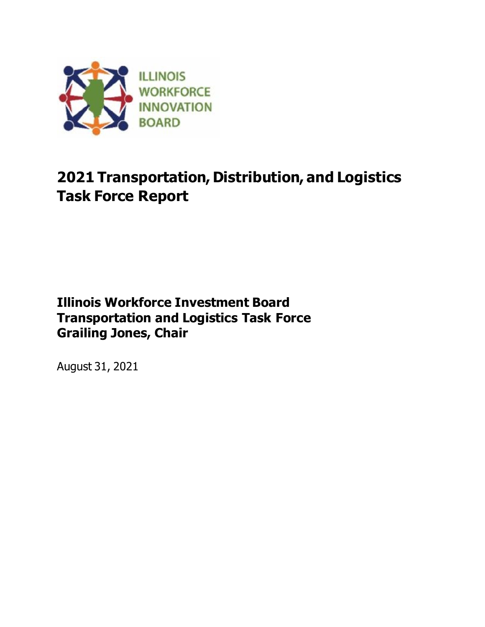

# **2021 Transportation, Distribution, and Logistics Task Force Report**

# **Illinois Workforce Investment Board Transportation and Logistics Task Force Grailing Jones, Chair**

August 31, 2021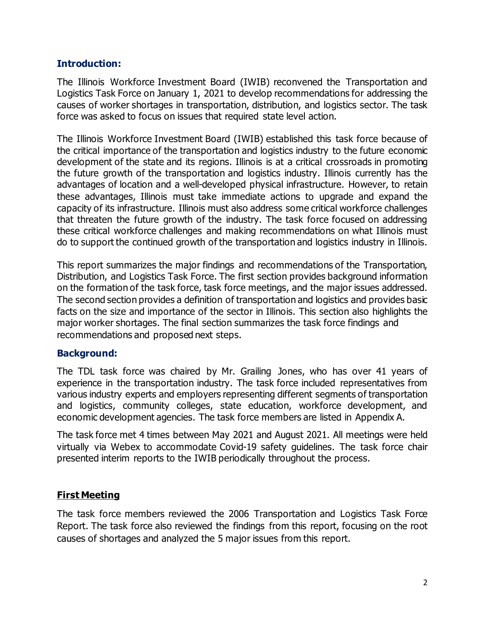## **Introduction:**

The Illinois Workforce Investment Board (IWIB) reconvened the Transportation and Logistics Task Force on January 1, 2021 to develop recommendations for addressing the causes of worker shortages in transportation, distribution, and logistics sector. The task force was asked to focus on issues that required state level action.

The Illinois Workforce Investment Board (IWIB) established this task force because of the critical importance of the transportation and logistics industry to the future economic development of the state and its regions. Illinois is at a critical crossroads in promoting the future growth of the transportation and logistics industry. Illinois currently has the advantages of location and a well-developed physical infrastructure. However, to retain these advantages, Illinois must take immediate actions to upgrade and expand the capacity of its infrastructure. Illinois must also address some critical workforce challenges that threaten the future growth of the industry. The task force focused on addressing these critical workforce challenges and making recommendations on what Illinois must do to support the continued growth of the transportation and logistics industry in Illinois.

This report summarizes the major findings and recommendations of the Transportation, Distribution, and Logistics Task Force. The first section provides background information on the formation of the task force, task force meetings, and the major issues addressed. The second section provides a definition of transportation and logistics and provides basic facts on the size and importance of the sector in Illinois. This section also highlights the major worker shortages. The final section summarizes the task force findings and recommendations and proposed next steps.

### **Background:**

The TDL task force was chaired by Mr. Grailing Jones, who has over 41 years of experience in the transportation industry. The task force included representatives from various industry experts and employers representing different segments of transportation and logistics, community colleges, state education, workforce development, and economic development agencies. The task force members are listed in Appendix A.

The task force met 4 times between May 2021 and August 2021. All meetings were held virtually via Webex to accommodate Covid-19 safety guidelines. The task force chair presented interim reports to the IWIB periodically throughout the process.

### **First Meeting**

The task force members reviewed the 2006 Transportation and Logistics Task Force Report. The task force also reviewed the findings from this report, focusing on the root causes of shortages and analyzed the 5 major issues from this report.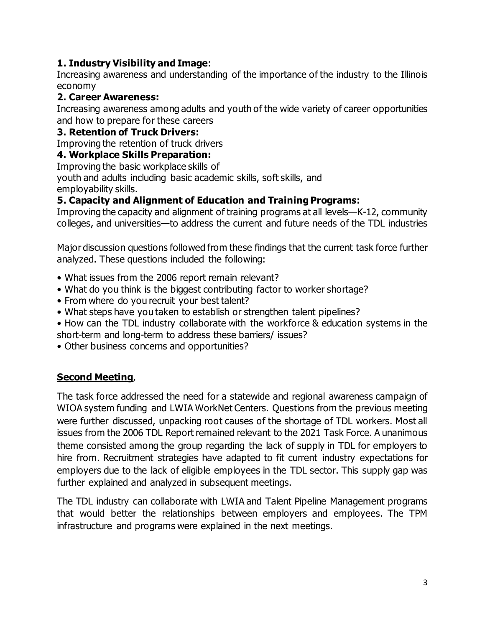## **1. Industry Visibility and Image**:

Increasing awareness and understanding of the importance of the industry to the Illinois economy

## **2. Career Awareness:**

Increasing awareness among adults and youth of the wide variety of career opportunities and how to prepare for these careers

## **3. Retention of Truck Drivers:**

Improving the retention of truck drivers

## **4. Workplace Skills Preparation:**

Improving the basic workplace skills of

youth and adults including basic academic skills, soft skills, and employability skills.

## **5. Capacity and Alignment of Education and Training Programs:**

Improving the capacity and alignment of training programs at all levels—K-12, community colleges, and universities—to address the current and future needs of the TDL industries

Major discussion questions followed from these findings that the current task force further analyzed. These questions included the following:

- What issues from the 2006 report remain relevant?
- What do you think is the biggest contributing factor to worker shortage?
- From where do you recruit your best talent?
- What steps have you taken to establish or strengthen talent pipelines?
- How can the TDL industry collaborate with the workforce & education systems in the short-term and long-term to address these barriers/ issues?
- Other business concerns and opportunities?

## **Second Meeting**,

The task force addressed the need for a statewide and regional awareness campaign of WIOA system funding and LWIA WorkNet Centers. Questions from the previous meeting were further discussed, unpacking root causes of the shortage of TDL workers. Most all issues from the 2006 TDL Report remained relevant to the 2021 Task Force. A unanimous theme consisted among the group regarding the lack of supply in TDL for employers to hire from. Recruitment strategies have adapted to fit current industry expectations for employers due to the lack of eligible employees in the TDL sector. This supply gap was further explained and analyzed in subsequent meetings.

The TDL industry can collaborate with LWIA and Talent Pipeline Management programs that would better the relationships between employers and employees. The TPM infrastructure and programs were explained in the next meetings.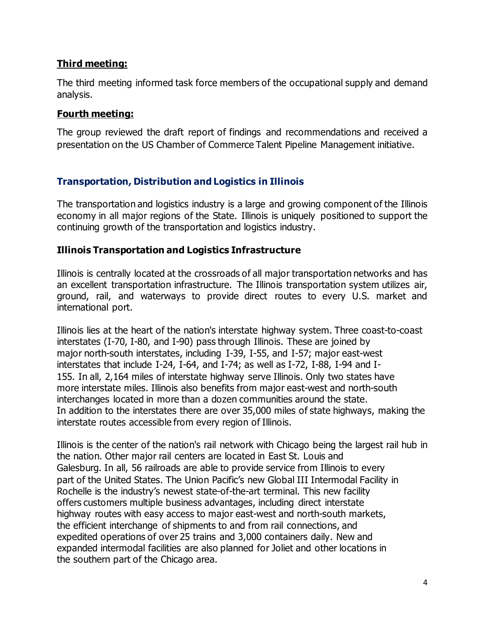## **Third meeting:**

The third meeting informed task force members of the occupational supply and demand analysis.

### **Fourth meeting:**

The group reviewed the draft report of findings and recommendations and received a presentation on the US Chamber of Commerce Talent Pipeline Management initiative.

## **Transportation, Distribution and Logistics in Illinois**

The transportation and logistics industry is a large and growing component of the Illinois economy in all major regions of the State. Illinois is uniquely positioned to support the continuing growth of the transportation and logistics industry.

## **Illinois Transportation and Logistics Infrastructure**

Illinois is centrally located at the crossroads of all major transportation networks and has an excellent transportation infrastructure. The Illinois transportation system utilizes air, ground, rail, and waterways to provide direct routes to every U.S. market and international port.

Illinois lies at the heart of the nation's interstate highway system. Three coast-to-coast interstates (I-70, I-80, and I-90) pass through Illinois. These are joined by major north-south interstates, including I-39, I-55, and I-57; major east-west interstates that include I-24, I-64, and I-74; as well as I-72, I-88, I-94 and I-155. In all, 2,164 miles of interstate highway serve Illinois. Only two states have more interstate miles. Illinois also benefits from major east-west and north-south interchanges located in more than a dozen communities around the state. In addition to the interstates there are over 35,000 miles of state highways, making the interstate routes accessible from every region of Illinois.

Illinois is the center of the nation's rail network with Chicago being the largest rail hub in the nation. Other major rail centers are located in East St. Louis and Galesburg. In all, 56 railroads are able to provide service from Illinois to every part of the United States. The Union Pacific's new Global III Intermodal Facility in Rochelle is the industry's newest state-of-the-art terminal. This new facility offers customers multiple business advantages, including direct interstate highway routes with easy access to major east-west and north-south markets, the efficient interchange of shipments to and from rail connections, and expedited operations of over 25 trains and 3,000 containers daily. New and expanded intermodal facilities are also planned for Joliet and other locations in the southern part of the Chicago area.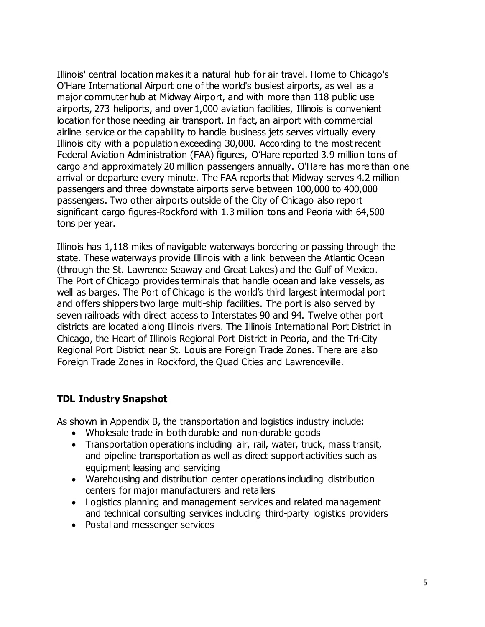Illinois' central location makes it a natural hub for air travel. Home to Chicago's O'Hare International Airport one of the world's busiest airports, as well as a major commuter hub at Midway Airport, and with more than 118 public use airports, 273 heliports, and over 1,000 aviation facilities, Illinois is convenient location for those needing air transport. In fact, an airport with commercial airline service or the capability to handle business jets serves virtually every Illinois city with a population exceeding 30,000. According to the most recent Federal Aviation Administration (FAA) figures, O'Hare reported 3.9 million tons of cargo and approximately 20 million passengers annually. O'Hare has more than one arrival or departure every minute. The FAA reports that Midway serves 4.2 million passengers and three downstate airports serve between 100,000 to 400,000 passengers. Two other airports outside of the City of Chicago also report significant cargo figures-Rockford with 1.3 million tons and Peoria with 64,500 tons per year.

Illinois has 1,118 miles of navigable waterways bordering or passing through the state. These waterways provide Illinois with a link between the Atlantic Ocean (through the St. Lawrence Seaway and Great Lakes) and the Gulf of Mexico. The Port of Chicago provides terminals that handle ocean and lake vessels, as well as barges. The Port of Chicago is the world's third largest intermodal port and offers shippers two large multi-ship facilities. The port is also served by seven railroads with direct access to Interstates 90 and 94. Twelve other port districts are located along Illinois rivers. The Illinois International Port District in Chicago, the Heart of Illinois Regional Port District in Peoria, and the Tri-City Regional Port District near St. Louis are Foreign Trade Zones. There are also Foreign Trade Zones in Rockford, the Quad Cities and Lawrenceville.

## **TDL Industry Snapshot**

As shown in Appendix B, the transportation and logistics industry include:

- Wholesale trade in both durable and non-durable goods
- Transportation operations including air, rail, water, truck, mass transit, and pipeline transportation as well as direct support activities such as equipment leasing and servicing
- Warehousing and distribution center operations including distribution centers for major manufacturers and retailers
- Logistics planning and management services and related management and technical consulting services including third-party logistics providers
- Postal and messenger services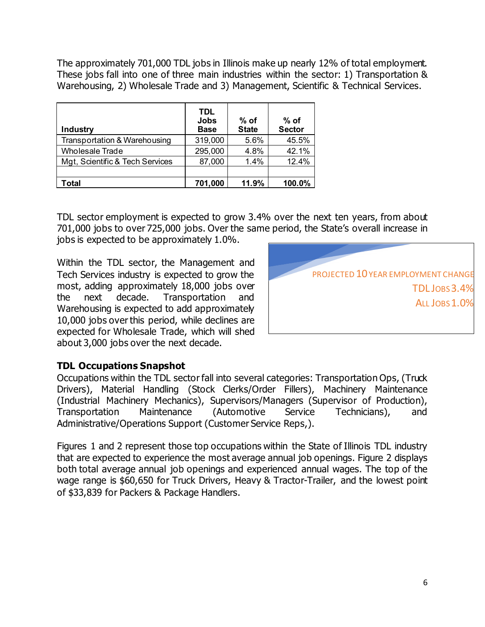The approximately 701,000 TDL jobs in Illinois make up nearly 12% of total employment. These jobs fall into one of three main industries within the sector: 1) Transportation & Warehousing, 2) Wholesale Trade and 3) Management, Scientific & Technical Services.

| <b>Industry</b>                 | TDL<br><b>Jobs</b><br><b>Base</b> | $%$ of<br><b>State</b> | $%$ of<br><b>Sector</b> |
|---------------------------------|-----------------------------------|------------------------|-------------------------|
| Transportation & Warehousing    | 319,000                           | 5.6%                   | 45.5%                   |
| <b>Wholesale Trade</b>          | 295,000                           | 4.8%                   | 42.1%                   |
| Mgt, Scientific & Tech Services | 87,000                            | 1.4%                   | 12.4%                   |
|                                 |                                   |                        |                         |
| 'otal                           | 701,000                           | 11.9%                  | 100.0%                  |

TDL sector employment is expected to grow 3.4% over the next ten years, from about 701,000 jobs to over 725,000 jobs. Over the same period, the State's overall increase in

jobs is expected to be approximately 1.0%.

Within the TDL sector, the Management and Tech Services industry is expected to grow the most, adding approximately 18,000 jobs over<br>the next decade. Transportation and the next decade. Transportation and Warehousing is expected to add approximately 10,000 jobs over this period, while declines are expected for Wholesale Trade, which will shed about 3,000 jobs over the next decade.



### **TDL Occupations Snapshot**

Occupations within the TDL sectorfall into several categories: Transportation Ops, (Truck Drivers), Material Handling (Stock Clerks/Order Fillers), Machinery Maintenance (Industrial Machinery Mechanics), Supervisors/Managers (Supervisor of Production), Transportation Maintenance (Automotive Service Technicians), and Administrative/Operations Support (Customer Service Reps,).

Figures 1 and 2 represent those top occupations within the State of Illinois TDL industry that are expected to experience the most average annual job openings. Figure 2 displays both total average annual job openings and experienced annual wages. The top of the wage range is \$60,650 for Truck Drivers, Heavy & Tractor-Trailer, and the lowest point of \$33,839 for Packers & Package Handlers.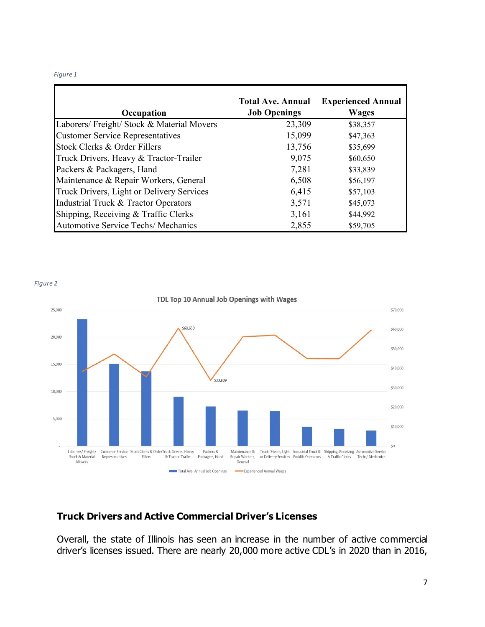#### *Figure 1*

|                                            | <b>Total Ave. Annual</b> | <b>Experienced Annual</b> |
|--------------------------------------------|--------------------------|---------------------------|
| Occupation                                 | <b>Job Openings</b>      | <b>Wages</b>              |
| Laborers/ Freight/ Stock & Material Movers | 23,309                   | \$38,357                  |
| <b>Customer Service Representatives</b>    | 15,099                   | \$47,363                  |
| Stock Clerks & Order Fillers               | 13,756                   | \$35,699                  |
| Truck Drivers, Heavy & Tractor-Trailer     | 9,075                    | \$60,650                  |
| Packers & Packagers, Hand                  | 7,281                    | \$33,839                  |
| Maintenance & Repair Workers, General      | 6,508                    | \$56,197                  |
| Truck Drivers, Light or Delivery Services  | 6,415                    | \$57,103                  |
| Industrial Truck & Tractor Operators       | 3,571                    | \$45,073                  |
| Shipping, Receiving & Traffic Clerks       | 3,161                    | \$44,992                  |
| <b>Automotive Service Techs/ Mechanics</b> | 2,855                    | \$59,705                  |

*Figure 2*



## **Truck Drivers and Active Commercial Driver's Licenses**

Overall, the state of Illinois has seen an increase in the number of active commercial driver's licenses issued. There are nearly 20,000 more active CDL's in 2020 than in 2016,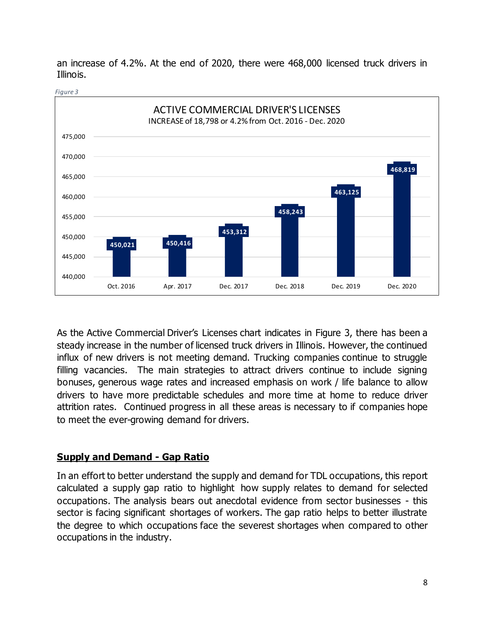

an increase of 4.2%. At the end of 2020, there were 468,000 licensed truck drivers in Illinois.

*Figure 3*

As the Active Commercial Driver's Licenses chart indicates in Figure 3, there has been a steady increase in the number of licensed truck drivers in Illinois. However, the continued influx of new drivers is not meeting demand. Trucking companies continue to struggle filling vacancies. The main strategies to attract drivers continue to include signing bonuses, generous wage rates and increased emphasis on work / life balance to allow drivers to have more predictable schedules and more time at home to reduce driver attrition rates. Continued progress in all these areas is necessary to if companies hope to meet the ever-growing demand for drivers.

## **Supply and Demand - Gap Ratio**

In an effort to better understand the supply and demand for TDL occupations, this report calculated a supply gap ratio to highlight how supply relates to demand for selected occupations. The analysis bears out anecdotal evidence from sector businesses - this sector is facing significant shortages of workers. The gap ratio helps to better illustrate the degree to which occupations face the severest shortages when compared to other occupations in the industry.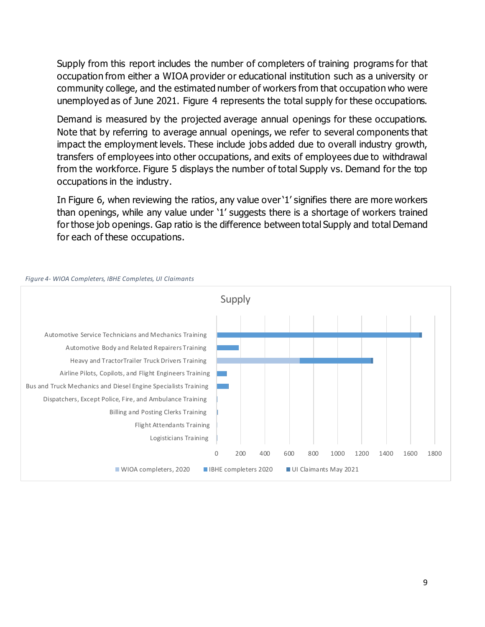Supply from this report includes the number of completers of training programs for that occupation from either a WIOA provider or educational institution such as a university or community college, and the estimated number of workers from that occupation who were unemployed as of June 2021. Figure 4 represents the total supply for these occupations.

Demand is measured by the projected average annual openings for these occupations. Note that by referring to average annual openings, we refer to several components that impact the employment levels. These include jobs added due to overall industry growth, transfers of employees into other occupations, and exits of employees due to withdrawal from the workforce. Figure 5 displays the number of total Supply vs. Demand for the top occupations in the industry.

In Figure 6, when reviewing the ratios, any value over '1' signifies there are more workers than openings, while any value under '1' suggests there is a shortage of workers trained for those job openings. Gap ratio is the difference between total Supply and total Demand for each of these occupations.



#### *Figure 4- WIOA Completers, IBHE Completes, UI Claimants*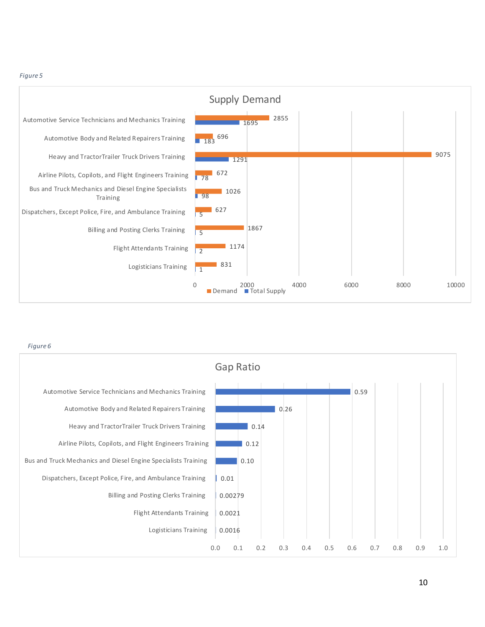#### *Figure 5*



*Figure 6*

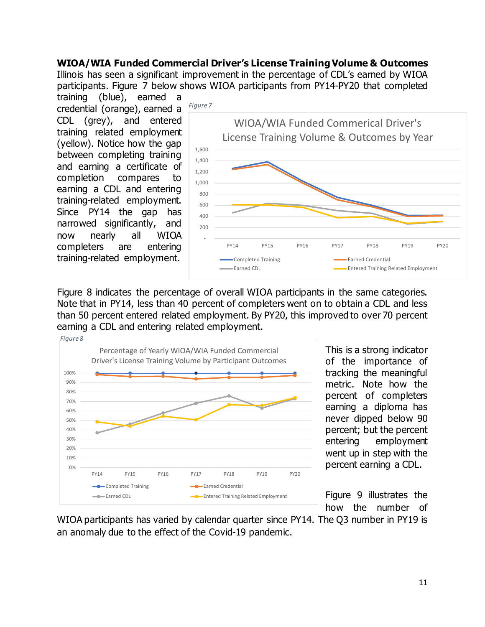## **WIOA/WIA Funded Commercial Driver's License Training Volume & Outcomes**

Illinois has seen a significant improvement in the percentage of CDL's earned by WIOA participants. Figure 7 below shows WIOA participants from PY14-PY20 that completed

training (blue), earned a credential (orange), earned a CDL (grey), and entered training related employment (yellow). Notice how the gap between completing training and earning a certificate of completion compares to earning a CDL and entering training-related employment. Since PY14 the gap has narrowed significantly, and now nearly all WIOA completers are entering training-related employment.



Figure 8 indicates the percentage of overall WIOA participants in the same categories. Note that in PY14, less than 40 percent of completers went on to obtain a CDL and less than 50 percent entered related employment. By PY20, this improved to over 70 percent earning a CDL and entering related employment.



This is a strong indicator of the importance of tracking the meaningful metric. Note how the percent of completers earning a diploma has never dipped below 90 percent; but the percent entering employment went up in step with the percent earning a CDL.

Figure 9 illustrates the how the number of

WIOA participants has varied by calendar quarter since PY14. The Q3 number in PY19 is an anomaly due to the effect of the Covid-19 pandemic.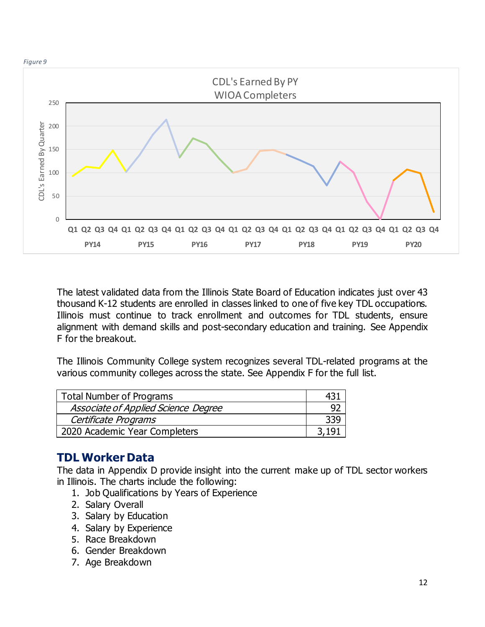



The latest validated data from the Illinois State Board of Education indicates just over 43 thousand K-12 students are enrolled in classes linked to one of five key TDL occupations. Illinois must continue to track enrollment and outcomes for TDL students, ensure alignment with demand skills and post-secondary education and training. See Appendix F for the breakout.

The Illinois Community College system recognizes several TDL-related programs at the various community colleges across the state. See Appendix F for the full list.

| <b>Total Number of Programs</b>     |  |
|-------------------------------------|--|
| Associate of Applied Science Degree |  |
| Certificate Programs                |  |
| 2020 Academic Year Completers       |  |

## **TDL Worker Data**

The data in Appendix D provide insight into the current make up of TDL sector workers in Illinois. The charts include the following:

- 1. Job Qualifications by Years of Experience
- 2. Salary Overall
- 3. Salary by Education
- 4. Salary by Experience
- 5. Race Breakdown
- 6. Gender Breakdown
- 7. Age Breakdown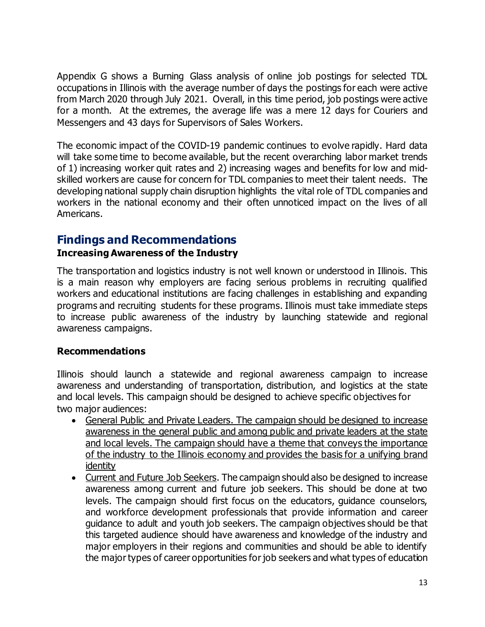Appendix G shows a Burning Glass analysis of online job postings for selected TDL occupations in Illinois with the average number of days the postings for each were active from March 2020 through July 2021. Overall, in this time period, job postings were active for a month. At the extremes, the average life was a mere 12 days for Couriers and Messengers and 43 days for Supervisors of Sales Workers.

The economic impact of the COVID-19 pandemic continues to evolve rapidly. Hard data will take some time to become available, but the recent overarching labor market trends of 1) increasing worker quit rates and 2) increasing wages and benefits for low and midskilled workers are cause for concern for TDL companies to meet their talent needs. The developing national supply chain disruption highlights the vital role of TDL companies and workers in the national economy and their often unnoticed impact on the lives of all Americans.

## **Findings and Recommendations**

## **Increasing Awareness of the Industry**

The transportation and logistics industry is not well known or understood in Illinois. This is a main reason why employers are facing serious problems in recruiting qualified workers and educational institutions are facing challenges in establishing and expanding programs and recruiting students for these programs. Illinois must take immediate steps to increase public awareness of the industry by launching statewide and regional awareness campaigns.

### **Recommendations**

Illinois should launch a statewide and regional awareness campaign to increase awareness and understanding of transportation, distribution, and logistics at the state and local levels. This campaign should be designed to achieve specific objectives for two major audiences:

- General Public and Private Leaders. The campaign should be designed to increase awareness in the general public and among public and private leaders at the state and local levels. The campaign should have a theme that conveys the importance of the industry to the Illinois economy and provides the basis for a unifying brand identity
- Current and Future Job Seekers. The campaign should also be designed to increase awareness among current and future job seekers. This should be done at two levels. The campaign should first focus on the educators, guidance counselors, and workforce development professionals that provide information and career guidance to adult and youth job seekers. The campaign objectives should be that this targeted audience should have awareness and knowledge of the industry and major employers in their regions and communities and should be able to identify the major types of career opportunities for job seekers and what types of education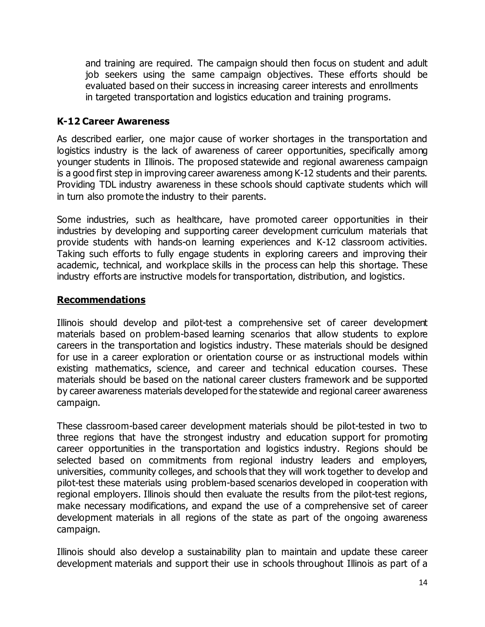and training are required. The campaign should then focus on student and adult job seekers using the same campaign objectives. These efforts should be evaluated based on their success in increasing career interests and enrollments in targeted transportation and logistics education and training programs.

### **K-12 Career Awareness**

As described earlier, one major cause of worker shortages in the transportation and logistics industry is the lack of awareness of career opportunities, specifically among younger students in Illinois. The proposed statewide and regional awareness campaign is a good first step in improving career awareness among K-12 students and their parents. Providing TDL industry awareness in these schools should captivate students which will in turn also promote the industry to their parents.

Some industries, such as healthcare, have promoted career opportunities in their industries by developing and supporting career development curriculum materials that provide students with hands-on learning experiences and K-12 classroom activities. Taking such efforts to fully engage students in exploring careers and improving their academic, technical, and workplace skills in the process can help this shortage. These industry efforts are instructive models for transportation, distribution, and logistics.

## **Recommendations**

Illinois should develop and pilot-test a comprehensive set of career development materials based on problem-based learning scenarios that allow students to explore careers in the transportation and logistics industry. These materials should be designed for use in a career exploration or orientation course or as instructional models within existing mathematics, science, and career and technical education courses. These materials should be based on the national career clusters framework and be supported by career awareness materials developed for the statewide and regional career awareness campaign.

These classroom-based career development materials should be pilot-tested in two to three regions that have the strongest industry and education support for promoting career opportunities in the transportation and logistics industry. Regions should be selected based on commitments from regional industry leaders and employers, universities, community colleges, and schools that they will work together to develop and pilot-test these materials using problem-based scenarios developed in cooperation with regional employers. Illinois should then evaluate the results from the pilot-test regions, make necessary modifications, and expand the use of a comprehensive set of career development materials in all regions of the state as part of the ongoing awareness campaign.

Illinois should also develop a sustainability plan to maintain and update these career development materials and support their use in schools throughout Illinois as part of a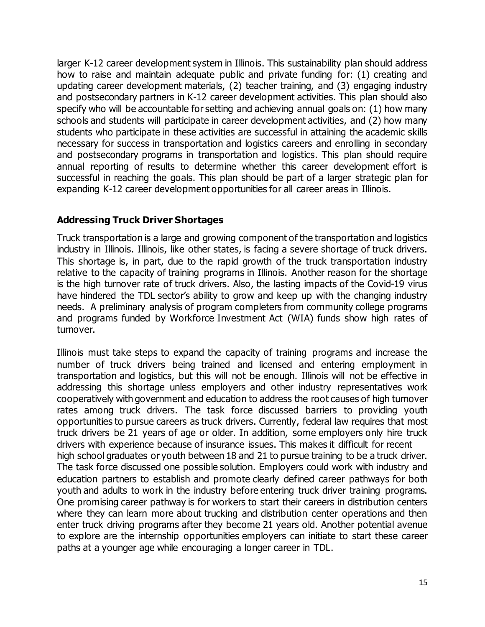larger K-12 career development system in Illinois. This sustainability plan should address how to raise and maintain adequate public and private funding for: (1) creating and updating career development materials, (2) teacher training, and (3) engaging industry and postsecondary partners in K-12 career development activities. This plan should also specify who will be accountable for setting and achieving annual goals on: (1) how many schools and students will participate in career development activities, and (2) how many students who participate in these activities are successful in attaining the academic skills necessary for success in transportation and logistics careers and enrolling in secondary and postsecondary programs in transportation and logistics. This plan should require annual reporting of results to determine whether this career development effort is successful in reaching the goals. This plan should be part of a larger strategic plan for expanding K-12 career development opportunities for all career areas in Illinois.

## **Addressing Truck Driver Shortages**

Truck transportation is a large and growing component of the transportation and logistics industry in Illinois. Illinois, like other states, is facing a severe shortage of truck drivers. This shortage is, in part, due to the rapid growth of the truck transportation industry relative to the capacity of training programs in Illinois. Another reason for the shortage is the high turnover rate of truck drivers. Also, the lasting impacts of the Covid-19 virus have hindered the TDL sector's ability to grow and keep up with the changing industry needs. A preliminary analysis of program completers from community college programs and programs funded by Workforce Investment Act (WIA) funds show high rates of turnover.

Illinois must take steps to expand the capacity of training programs and increase the number of truck drivers being trained and licensed and entering employment in transportation and logistics, but this will not be enough. Illinois will not be effective in addressing this shortage unless employers and other industry representatives work cooperatively with government and education to address the root causes of high turnover rates among truck drivers. The task force discussed barriers to providing youth opportunities to pursue careers as truck drivers. Currently, federal law requires that most truck drivers be 21 years of age or older. In addition, some employers only hire truck drivers with experience because of insurance issues. This makes it difficult for recent high school graduates or youth between 18 and 21 to pursue training to be a truck driver. The task force discussed one possible solution. Employers could work with industry and education partners to establish and promote clearly defined career pathways for both youth and adults to work in the industry before entering truck driver training programs. One promising career pathway is for workers to start their careers in distribution centers where they can learn more about trucking and distribution center operations and then enter truck driving programs after they become 21 years old. Another potential avenue to explore are the internship opportunities employers can initiate to start these career paths at a younger age while encouraging a longer career in TDL.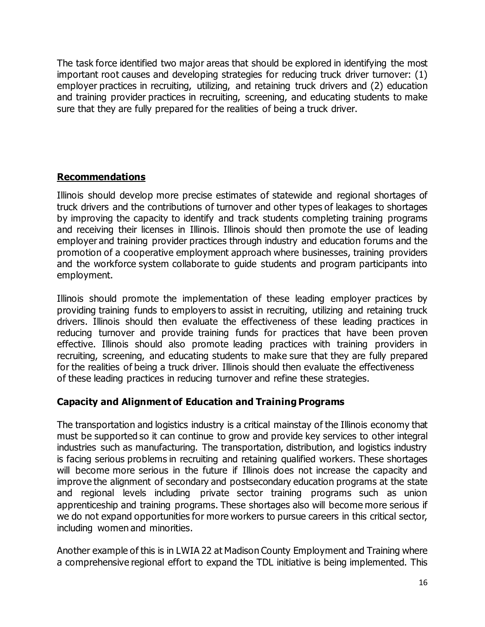The task force identified two major areas that should be explored in identifying the most important root causes and developing strategies for reducing truck driver turnover: (1) employer practices in recruiting, utilizing, and retaining truck drivers and (2) education and training provider practices in recruiting, screening, and educating students to make sure that they are fully prepared for the realities of being a truck driver.

## **Recommendations**

Illinois should develop more precise estimates of statewide and regional shortages of truck drivers and the contributions of turnover and other types of leakages to shortages by improving the capacity to identify and track students completing training programs and receiving their licenses in Illinois. Illinois should then promote the use of leading employer and training provider practices through industry and education forums and the promotion of a cooperative employment approach where businesses, training providers and the workforce system collaborate to guide students and program participants into employment.

Illinois should promote the implementation of these leading employer practices by providing training funds to employers to assist in recruiting, utilizing and retaining truck drivers. Illinois should then evaluate the effectiveness of these leading practices in reducing turnover and provide training funds for practices that have been proven effective. Illinois should also promote leading practices with training providers in recruiting, screening, and educating students to make sure that they are fully prepared for the realities of being a truck driver. Illinois should then evaluate the effectiveness of these leading practices in reducing turnover and refine these strategies.

## **Capacity and Alignment of Education and Training Programs**

The transportation and logistics industry is a critical mainstay of the Illinois economy that must be supported so it can continue to grow and provide key services to other integral industries such as manufacturing. The transportation, distribution, and logistics industry is facing serious problems in recruiting and retaining qualified workers. These shortages will become more serious in the future if Illinois does not increase the capacity and improve the alignment of secondary and postsecondary education programs at the state and regional levels including private sector training programs such as union apprenticeship and training programs. These shortages also will become more serious if we do not expand opportunities for more workers to pursue careers in this critical sector, including women and minorities.

Another example of this is in LWIA 22 at Madison County Employment and Training where a comprehensive regional effort to expand the TDL initiative is being implemented. This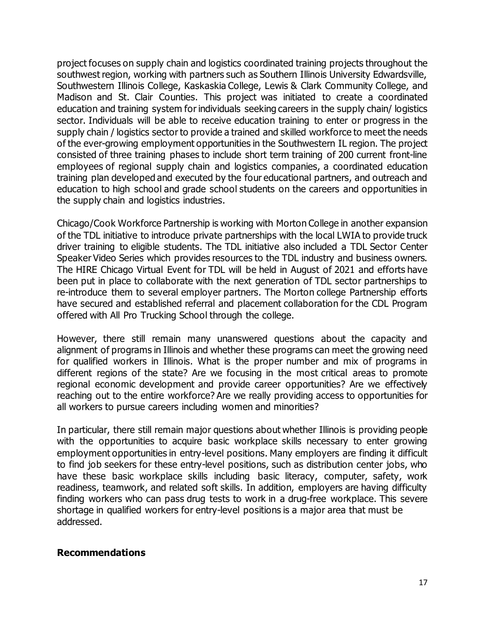project focuses on supply chain and logistics coordinated training projects throughout the southwest region, working with partners such as Southern Illinois University Edwardsville, Southwestern Illinois College, Kaskaskia College, Lewis & Clark Community College, and Madison and St. Clair Counties. This project was initiated to create a coordinated education and training system for individuals seeking careers in the supply chain/ logistics sector. Individuals will be able to receive education training to enter or progress in the supply chain / logistics sector to provide a trained and skilled workforce to meet the needs of the ever-growing employment opportunities in the Southwestern IL region. The project consisted of three training phases to include short term training of 200 current front-line employees of regional supply chain and logistics companies, a coordinated education training plan developed and executed by the four educational partners, and outreach and education to high school and grade school students on the careers and opportunities in the supply chain and logistics industries.

Chicago/Cook Workforce Partnership is working with Morton College in another expansion of the TDL initiative to introduce private partnerships with the local LWIA to provide truck driver training to eligible students. The TDL initiative also included a TDL Sector Center Speaker Video Series which provides resources to the TDL industry and business owners. The HIRE Chicago Virtual Event for TDL will be held in August of 2021 and efforts have been put in place to collaborate with the next generation of TDL sector partnerships to re-introduce them to several employer partners. The Morton college Partnership efforts have secured and established referral and placement collaboration for the CDL Program offered with All Pro Trucking School through the college.

However, there still remain many unanswered questions about the capacity and alignment of programs in Illinois and whether these programs can meet the growing need for qualified workers in Illinois. What is the proper number and mix of programs in different regions of the state? Are we focusing in the most critical areas to promote regional economic development and provide career opportunities? Are we effectively reaching out to the entire workforce? Are we really providing access to opportunities for all workers to pursue careers including women and minorities?

In particular, there still remain major questions about whether Illinois is providing people with the opportunities to acquire basic workplace skills necessary to enter growing employment opportunities in entry-level positions. Many employers are finding it difficult to find job seekers for these entry-level positions, such as distribution center jobs, who have these basic workplace skills including basic literacy, computer, safety, work readiness, teamwork, and related soft skills. In addition, employers are having difficulty finding workers who can pass drug tests to work in a drug-free workplace. This severe shortage in qualified workers for entry-level positions is a major area that must be addressed.

### **Recommendations**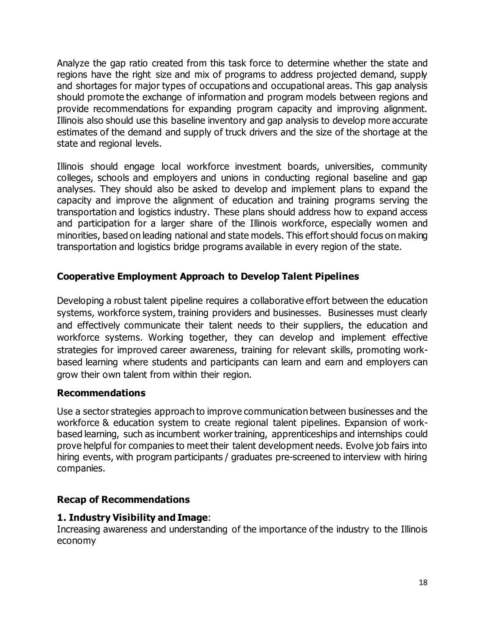Analyze the gap ratio created from this task force to determine whether the state and regions have the right size and mix of programs to address projected demand, supply and shortages for major types of occupations and occupational areas. This gap analysis should promote the exchange of information and program models between regions and provide recommendations for expanding program capacity and improving alignment. Illinois also should use this baseline inventory and gap analysis to develop more accurate estimates of the demand and supply of truck drivers and the size of the shortage at the state and regional levels.

Illinois should engage local workforce investment boards, universities, community colleges, schools and employers and unions in conducting regional baseline and gap analyses. They should also be asked to develop and implement plans to expand the capacity and improve the alignment of education and training programs serving the transportation and logistics industry. These plans should address how to expand access and participation for a larger share of the Illinois workforce, especially women and minorities, based on leading national and state models. This effort should focus on making transportation and logistics bridge programs available in every region of the state.

## **Cooperative Employment Approach to Develop Talent Pipelines**

Developing a robust talent pipeline requires a collaborative effort between the education systems, workforce system, training providers and businesses. Businesses must clearly and effectively communicate their talent needs to their suppliers, the education and workforce systems. Working together, they can develop and implement effective strategies for improved career awareness, training for relevant skills, promoting workbased learning where students and participants can learn and earn and employers can grow their own talent from within their region.

## **Recommendations**

Use a sector strategies approach to improve communication between businesses and the workforce & education system to create regional talent pipelines. Expansion of workbased learning, such as incumbent worker training, apprenticeships and internships could prove helpful for companies to meet their talent development needs. Evolve job fairs into hiring events, with program participants / graduates pre-screened to interview with hiring companies.

## **Recap of Recommendations**

## **1. Industry Visibility and Image**:

Increasing awareness and understanding of the importance of the industry to the Illinois economy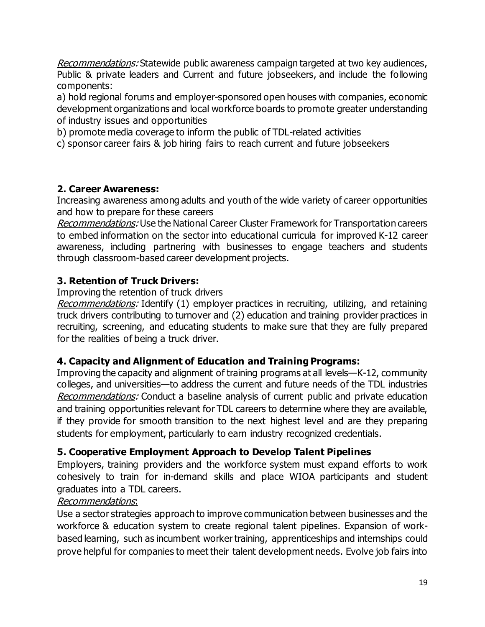Recommendations: Statewide public awareness campaign targeted at two key audiences, Public & private leaders and Current and future jobseekers, and include the following components:

a) hold regional forums and employer-sponsored open houses with companies, economic development organizations and local workforce boards to promote greater understanding of industry issues and opportunities

b) promote media coverage to inform the public of TDL-related activities

c) sponsor career fairs & job hiring fairs to reach current and future jobseekers

## **2. Career Awareness:**

Increasing awareness among adults and youth of the wide variety of career opportunities and how to prepare for these careers

Recommendations: Use the National Career Cluster Framework for Transportation careers to embed information on the sector into educational curricula for improved K-12 career awareness, including partnering with businesses to engage teachers and students through classroom-based career development projects.

## **3. Retention of Truck Drivers:**

Improving the retention of truck drivers

Recommendations: Identify (1) employer practices in recruiting, utilizing, and retaining truck drivers contributing to turnover and (2) education and training provider practices in recruiting, screening, and educating students to make sure that they are fully prepared for the realities of being a truck driver.

## **4. Capacity and Alignment of Education and Training Programs:**

Improving the capacity and alignment of training programs at all levels—K-12, community colleges, and universities—to address the current and future needs of the TDL industries Recommendations: Conduct a baseline analysis of current public and private education and training opportunities relevant for TDL careers to determine where they are available, if they provide for smooth transition to the next highest level and are they preparing students for employment, particularly to earn industry recognized credentials.

## **5. Cooperative Employment Approach to Develop Talent Pipelines**

Employers, training providers and the workforce system must expand efforts to work cohesively to train for in-demand skills and place WIOA participants and student graduates into a TDL careers.

## Recommendations:

Use a sector strategies approach to improve communication between businesses and the workforce & education system to create regional talent pipelines. Expansion of workbased learning, such as incumbent worker training, apprenticeships and internships could prove helpful for companies to meet their talent development needs. Evolve job fairs into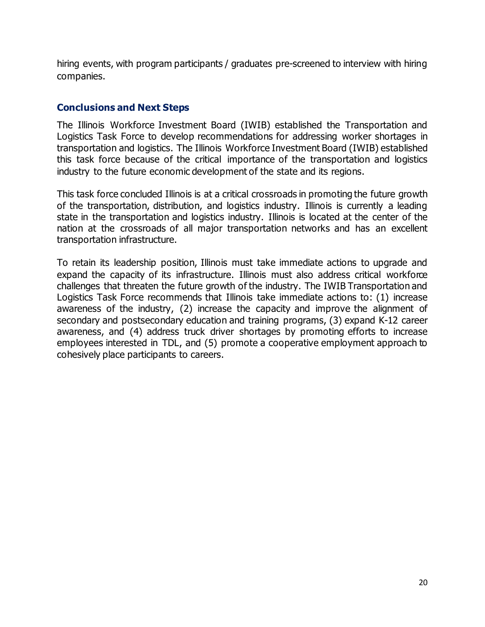hiring events, with program participants / graduates pre-screened to interview with hiring companies.

### **Conclusions and Next Steps**

The Illinois Workforce Investment Board (IWIB) established the Transportation and Logistics Task Force to develop recommendations for addressing worker shortages in transportation and logistics. The Illinois Workforce Investment Board (IWIB) established this task force because of the critical importance of the transportation and logistics industry to the future economic development of the state and its regions.

This task force concluded Illinois is at a critical crossroads in promoting the future growth of the transportation, distribution, and logistics industry. Illinois is currently a leading state in the transportation and logistics industry. Illinois is located at the center of the nation at the crossroads of all major transportation networks and has an excellent transportation infrastructure.

To retain its leadership position, Illinois must take immediate actions to upgrade and expand the capacity of its infrastructure. Illinois must also address critical workforce challenges that threaten the future growth of the industry. The IWIB Transportation and Logistics Task Force recommends that Illinois take immediate actions to: (1) increase awareness of the industry, (2) increase the capacity and improve the alignment of secondary and postsecondary education and training programs, (3) expand K-12 career awareness, and (4) address truck driver shortages by promoting efforts to increase employees interested in TDL, and (5) promote a cooperative employment approach to cohesively place participants to careers.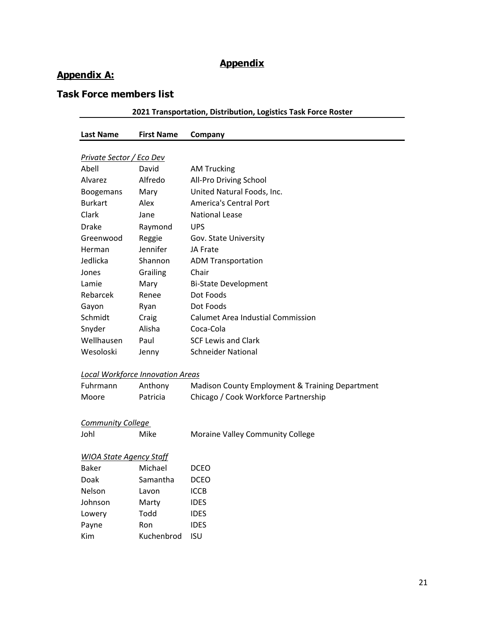## **Appendix**

## **Appendix A:**

## **Task Force members list**

|                                 |                                         | 2021 Transportation, Distribution, Logistics Task Force Roster |
|---------------------------------|-----------------------------------------|----------------------------------------------------------------|
| <b>Last Name</b>                | <b>First Name</b>                       | Company                                                        |
|                                 |                                         |                                                                |
| <u>Private Sector / Eco Dev</u> |                                         |                                                                |
| Abell                           | David                                   | <b>AM Trucking</b>                                             |
| Alvarez                         | Alfredo                                 | All-Pro Driving School                                         |
| <b>Boogemans</b>                | Mary                                    | United Natural Foods, Inc.                                     |
| <b>Burkart</b>                  | Alex                                    | <b>America's Central Port</b>                                  |
| Clark                           | Jane                                    | <b>National Lease</b>                                          |
| <b>Drake</b>                    | Raymond                                 | <b>UPS</b>                                                     |
| Greenwood                       | Reggie                                  | Gov. State University                                          |
| Herman                          | Jennifer                                | JA Frate                                                       |
| Jedlicka                        | Shannon                                 | <b>ADM Transportation</b>                                      |
| Jones                           | Grailing                                | Chair                                                          |
| Lamie                           | Mary                                    | <b>Bi-State Development</b>                                    |
| Rebarcek                        | Renee                                   | Dot Foods                                                      |
| Gayon                           | Ryan                                    | Dot Foods                                                      |
| Schmidt                         | Craig                                   | <b>Calumet Area Industial Commission</b>                       |
| Snyder                          | Alisha                                  | Coca-Cola                                                      |
| Wellhausen                      | Paul                                    | <b>SCF Lewis and Clark</b>                                     |
| Wesoloski                       | Jenny                                   | <b>Schneider National</b>                                      |
|                                 | <b>Local Workforce Innovation Areas</b> |                                                                |
| Fuhrmann                        | Anthony                                 | Madison County Employment & Training Department                |
| Moore                           | Patricia                                | Chicago / Cook Workforce Partnership                           |
| <b>Community College</b>        |                                         |                                                                |
| Johl                            | Mike                                    | Moraine Valley Community College                               |
| <u>WIOA State Agency Staff</u>  |                                         |                                                                |
| <b>Baker</b>                    | Michael                                 | <b>DCEO</b>                                                    |
| Doak                            | Samantha                                | <b>DCEO</b>                                                    |
| Nelson                          | Lavon                                   | <b>ICCB</b>                                                    |
| Johnson                         | Marty                                   | <b>IDES</b>                                                    |
| Lowery                          | Todd                                    | <b>IDES</b>                                                    |
| Payne                           | Ron                                     | <b>IDES</b>                                                    |
| Kim                             | Kuchenbrod                              | <b>ISU</b>                                                     |
|                                 |                                         |                                                                |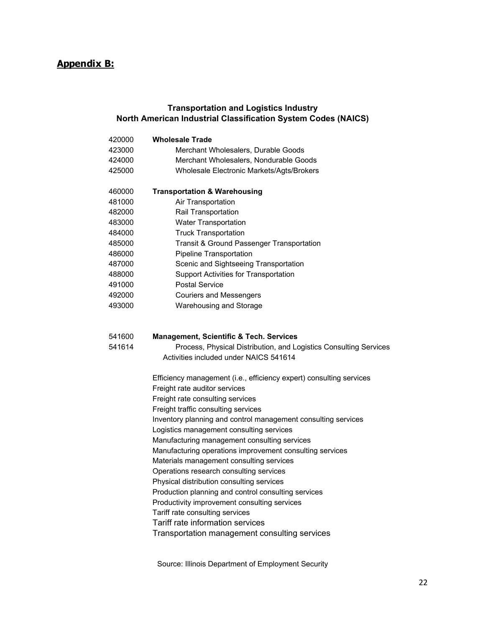## **Appendix B:**

### **Transportation and Logistics Industry North American Industrial Classification System Codes (NAICS)**

| 420000 | <b>Wholesale Trade</b>                                              |
|--------|---------------------------------------------------------------------|
| 423000 | Merchant Wholesalers, Durable Goods                                 |
| 424000 | Merchant Wholesalers, Nondurable Goods                              |
| 425000 | Wholesale Electronic Markets/Agts/Brokers                           |
| 460000 | <b>Transportation &amp; Warehousing</b>                             |
| 481000 | Air Transportation                                                  |
| 482000 | Rail Transportation                                                 |
| 483000 | <b>Water Transportation</b>                                         |
| 484000 | <b>Truck Transportation</b>                                         |
| 485000 | Transit & Ground Passenger Transportation                           |
| 486000 | Pipeline Transportation                                             |
| 487000 | Scenic and Sightseeing Transportation                               |
| 488000 | Support Activities for Transportation                               |
| 491000 | <b>Postal Service</b>                                               |
| 492000 | <b>Couriers and Messengers</b>                                      |
| 493000 | Warehousing and Storage                                             |
| 541600 | <b>Management, Scientific &amp; Tech. Services</b>                  |
| 541614 | Process, Physical Distribution, and Logistics Consulting Services   |
|        | Activities included under NAICS 541614                              |
|        | Efficiency management (i.e., efficiency expert) consulting services |
|        | Freight rate auditor services                                       |
|        | Freight rate consulting services                                    |
|        | Freight traffic consulting services                                 |
|        | Inventory planning and control management consulting services       |
|        | Logistics management consulting services                            |
|        | Manufacturing management consulting services                        |
|        | Manufacturing operations improvement consulting services            |
|        | Materials management consulting services                            |
|        | Operations research consulting services                             |
|        | Physical distribution consulting services                           |
|        | Production planning and control consulting services                 |
|        | Productivity improvement consulting services                        |
|        | Tariff rate consulting services                                     |
|        | Tariff rate information services                                    |
|        | Transportation management consulting services                       |
|        |                                                                     |

Source: Illinois Department of Employment Security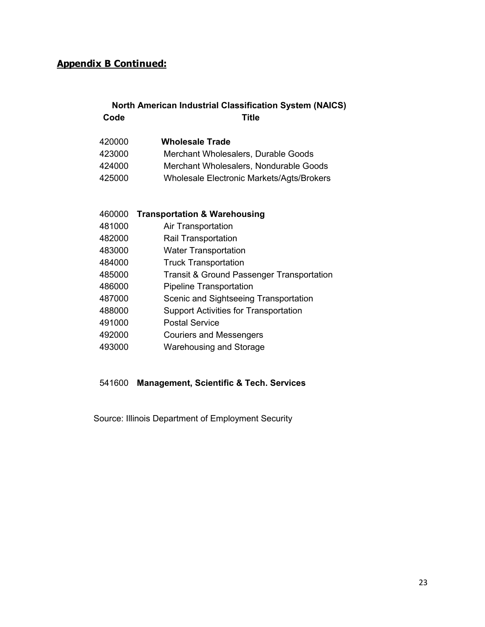## **Code Title North American Industrial Classification System (NAICS)**

| 420000 | <b>Wholesale Trade</b>                           |
|--------|--------------------------------------------------|
| 423000 | Merchant Wholesalers, Durable Goods              |
| 424000 | Merchant Wholesalers, Nondurable Goods           |
| 425000 | <b>Wholesale Electronic Markets/Agts/Brokers</b> |

| 460000 | <b>Transportation &amp; Warehousing</b>              |
|--------|------------------------------------------------------|
| 481000 | Air Transportation                                   |
| 482000 | <b>Rail Transportation</b>                           |
| 483000 | <b>Water Transportation</b>                          |
| 484000 | <b>Truck Transportation</b>                          |
| 485000 | <b>Transit &amp; Ground Passenger Transportation</b> |
| 486000 | <b>Pipeline Transportation</b>                       |
| 487000 | Scenic and Sightseeing Transportation                |
| 488000 | <b>Support Activities for Transportation</b>         |
| 491000 | <b>Postal Service</b>                                |
| 492000 | <b>Couriers and Messengers</b>                       |
| 493000 | Warehousing and Storage                              |
|        |                                                      |

## 541600 **Management, Scientific & Tech. Services**

Source: Illinois Department of Employment Security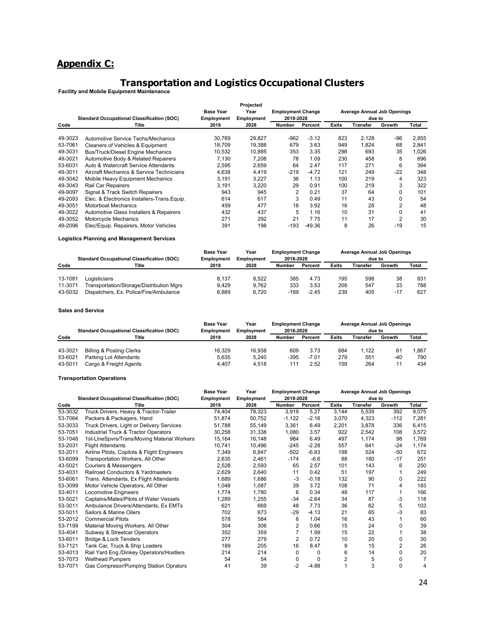## **Appendix C:**

# **Transportation and Logistics Occupational Clusters Facility and Mobile Equipment Maintenance**

|         |                                                   |                  | Projected  |                          |          |              |          |                                    |       |
|---------|---------------------------------------------------|------------------|------------|--------------------------|----------|--------------|----------|------------------------------------|-------|
|         |                                                   | <b>Base Year</b> | Year       | <b>Employment Change</b> |          |              |          | <b>Average Annual Job Openings</b> |       |
|         | <b>Standard Occupational Classification (SOC)</b> | Employment       | Employment | 2018-2028                |          |              | due to   |                                    |       |
| Code    | Title                                             | 2018             | 2028       | <b>Number</b>            | Percent  | <b>Exits</b> | Transfer | Growth                             | Total |
| 49-3023 | Automotive Service Techs/Mechanics                | 30.789           | 29.827     | -962                     | $-3.12$  | 823          | 2.128    | -96                                | 2,855 |
| 53-7061 | Cleaners of Vehicles & Equipment                  | 18.709           | 19,388     | 679                      | 3.63     | 949          | 1,824    | 68                                 | 2,841 |
| 49-3031 | <b>Bus/Truck/Diesel Engine Mechanics</b>          | 10,532           | 10,885     | 353                      | 3.35     | 298          | 693      | 35                                 | 1,026 |
| 49-3021 | Automotive Body & Related Repairers               | 7.130            | 7.208      | 78                       | 1.09     | 230          | 458      | 8                                  | 696   |
| 53-6031 | Auto & Watercraft Service Attendants              | 2,595            | 2,659      | 64                       | 2.47     | 117          | 271      | 6                                  | 394   |
| 49-3011 | Aircraft Mechanics & Service Technicians          | 4,638            | 4,419      | $-219$                   | $-4.72$  | 121          | 249      | $-22$                              | 348   |
| 49-3042 | Mobile Heavy Equipment Mechanics                  | 3,191            | 3,227      | 36                       | 1.13     | 100          | 219      | 4                                  | 323   |
| 49-3043 | Rail Car Repairers                                | 3,191            | 3,220      | 29                       | 0.91     | 100          | 219      | 3                                  | 322   |
| 49-9097 | Signal & Track Switch Repairers                   | 943              | 945        | $\overline{2}$           | 0.21     | 37           | 64       | 0                                  | 101   |
| 49-2093 | Elec. & Electronics Installers-Trans. Equip.      | 614              | 617        | 3                        | 0.49     | 11           | 43       | 0                                  | 54    |
| 49-3051 | <b>Motorboat Mechanics</b>                        | 459              | 477        | 18                       | 3.92     | 18           | 28       | $\overline{2}$                     | 48    |
| 49-3022 | Automotive Glass Installers & Repairers           | 432              | 437        | 5                        | 1.16     | 10           | 31       | 0                                  | 41    |
| 49-3052 | Motorcycle Mechanics                              | 271              | 292        | 21                       | 7.75     | 11           | 17       | $\overline{2}$                     | 30    |
| 49-2096 | Elec/Equip. Repairers, Motor Vehicles             | 391              | 198        | $-193$                   | $-49.36$ | 8            | 26       | $-19$                              | 15    |

#### **Logistics Planning and Management Services**

|                               | <b>Standard Occupational Classification (SOC)</b>                                                  | <b>Base Year</b><br>Employment | Year<br><b>Employment Change</b><br>2018-2028<br><b>Employment</b> |                    |                         | <b>Average Annual Job Openings</b><br>due to |                   |                   |                   |  |
|-------------------------------|----------------------------------------------------------------------------------------------------|--------------------------------|--------------------------------------------------------------------|--------------------|-------------------------|----------------------------------------------|-------------------|-------------------|-------------------|--|
| Code                          | Title                                                                                              | 2018                           | 2028                                                               | Number             | Percent                 | <b>Exits</b>                                 | Transfer          | Growth            | Total             |  |
| 13-1081<br>11-3071<br>43-5032 | Logisticians<br>Transportation/Storage/Distribution Mgrs<br>Dispatchers, Ex. Police/Fire/Ambulance | 8.137<br>9.429<br>6.889        | 8.522<br>9.762<br>6.720                                            | 385<br>333<br>-169 | 4.73<br>3.53<br>$-2.45$ | 195<br>208<br>239                            | 598<br>547<br>405 | 38<br>33<br>$-17$ | 831<br>788<br>627 |  |

#### **Sales and Service**

|         |                                                   | <b>Base Year</b>  | Year              | <b>Employment Change</b> |         | <b>Average Annual Job Openings</b> |          |        |       |
|---------|---------------------------------------------------|-------------------|-------------------|--------------------------|---------|------------------------------------|----------|--------|-------|
|         | <b>Standard Occupational Classification (SOC)</b> | <b>Employment</b> | <b>Employment</b> | 2018-2028                |         | due to                             |          |        |       |
| Code    | Title                                             | 2018              | 2028              | Number                   | Percent | Exits                              | Transfer | Growth | Total |
|         |                                                   |                   |                   |                          |         |                                    |          |        |       |
| 43-3021 | <b>Billing &amp; Posting Clerks</b>               | 16.329            | 16.938            | 609                      | 3.73    | 684                                | 1.122    | 61     | 1.867 |
| 53-6021 | Parking Lot Attendants                            | 5.635             | 5.240             | $-395$                   | $-7.01$ | 279                                | 551      | $-40$  | 790   |
| 43-5011 | Cargo & Freight Agents                            | 4.407             | 4.518             | 111                      | 2.52    | 159                                | 264      |        | 434   |

#### **Transportation Operations**

|                                                   |                                             | <b>Base Year</b><br>Year |        |               | <b>Employment Change</b> |              | <b>Average Annual Job Openings</b> |        |       |  |
|---------------------------------------------------|---------------------------------------------|--------------------------|--------|---------------|--------------------------|--------------|------------------------------------|--------|-------|--|
| <b>Standard Occupational Classification (SOC)</b> |                                             | Employment<br>Employment |        | 2018-2028     |                          | due to       |                                    |        |       |  |
| Code                                              | Title                                       | 2018                     | 2028   | <b>Number</b> | Percent                  | <b>Exits</b> | <b>Transfer</b>                    | Growth | Total |  |
| 53-3032                                           | Truck Drivers, Heavy & Tractor-Trailer      | 74,404                   | 78,323 | 3,919         | 5.27                     | 3,144        | 5,539                              | 392    | 9,075 |  |
| 53-7064                                           | Packers & Packagers, Hand                   | 51,874                   | 50,752 | $-1,122$      | $-2.16$                  | 3,070        | 4,323                              | $-112$ | 7,281 |  |
| 53-3033                                           | Truck Drivers, Light or Delivery Services   | 51,788                   | 55,149 | 3,361         | 6.49                     | 2,201        | 3,878                              | 336    | 6,415 |  |
| 53-7051                                           | Industrial Truck & Tractor Operators        | 30,258                   | 31,338 | 1,080         | 3.57                     | 922          | 2,542                              | 108    | 3,572 |  |
| 53-1048                                           | 1st-LineSpvrs/Trans/Moving Material Workers | 15,164                   | 16,148 | 984           | 6.49                     | 497          | 1,174                              | 98     | 1,769 |  |
| 53-2031                                           | <b>Flight Attendants</b>                    | 10.741                   | 10,496 | $-245$        | $-2.28$                  | 557          | 641                                | -24    | 1,174 |  |
| 53-2011                                           | Airline Pilots, Copilots & Flight Engineers | 7,349                    | 6,847  | $-502$        | $-6.83$                  | 198          | 524                                | $-50$  | 672   |  |
| 53-6099                                           | Transportation Workers, All Other           | 2,635                    | 2,461  | $-174$        | $-6.6$                   | 88           | 180                                | $-17$  | 251   |  |
| 43-5021                                           | <b>Couriers &amp; Messengers</b>            | 2,528                    | 2,593  | 65            | 2.57                     | 101          | 143                                | 6      | 250   |  |
| 53-4031                                           | Railroad Conductors & Yardmasters           | 2,629                    | 2,640  | 11            | 0.42                     | 51           | 197                                |        | 249   |  |
| 53-6061                                           | Trans. Attendants, Ex Flight Attendants     | 1,689                    | 1,686  | -3            | $-0.18$                  | 132          | 90                                 | 0      | 222   |  |
| 53-3099                                           | Motor Vehicle Operators, All Other          | 1,048                    | 1,087  | 39            | 3.72                     | 108          | 71                                 | 4      | 183   |  |
| 53-4011                                           | Locomotive Engineers                        | 1,774                    | 1,780  | 6             | 0.34                     | 48           | 117                                |        | 166   |  |
| 53-5021                                           | Captains/Mates/Pilots of Water Vessels      | 1,289                    | 1,255  | $-34$         | $-2.64$                  | 34           | 87                                 | $-3$   | 118   |  |
| 53-3011                                           | Ambulance Drivers/Attendants, Ex EMTs       | 621                      | 669    | 48            | 7.73                     | 36           | 62                                 | 5      | 103   |  |
| 53-5011                                           | Sailors & Marine Oilers                     | 702                      | 673    | $-29$         | $-4.13$                  | 21           | 65                                 | $-3$   | 83    |  |
| 53-2012                                           | <b>Commercial Pilots</b>                    | 578                      | 584    | 6             | 1.04                     | 16           | 43                                 |        | 60    |  |
| 53-7199                                           | Material Moving Workers, All Other          | 304                      | 306    | 2             | 0.66                     | 15           | 24                                 | 0      | 39    |  |
| 53-4041                                           | Subway & Streetcar Operators                | 352                      | 359    |               | 1.99                     | 15           | 22                                 |        | 38    |  |
| 53-6011                                           | Bridge & Lock Tenders                       | 277                      | 279    | 2             | 0.72                     | 10           | 20                                 | 0      | 30    |  |
| 53-7121                                           | Tank Car, Truck & Ship Loaders              | 189                      | 205    | 16            | 8.47                     | 9            | 15                                 | 2      | 26    |  |
| 53-4013                                           | Rail Yard Eng./Dinkey Operators/Hostlers    | 214                      | 214    | 0             | 0                        | 6            | 14                                 | 0      | 20    |  |
| 53-7073                                           | <b>Wellhead Pumpers</b>                     | 54                       | 54     | 0             | 0                        | 2            | 5                                  | 0      | 7     |  |
| 53-7071                                           | Gas Compresor/Pumping Station Oprators      | 41                       | 39     | $-2$          | $-4.88$                  |              | 3                                  | 0      | 4     |  |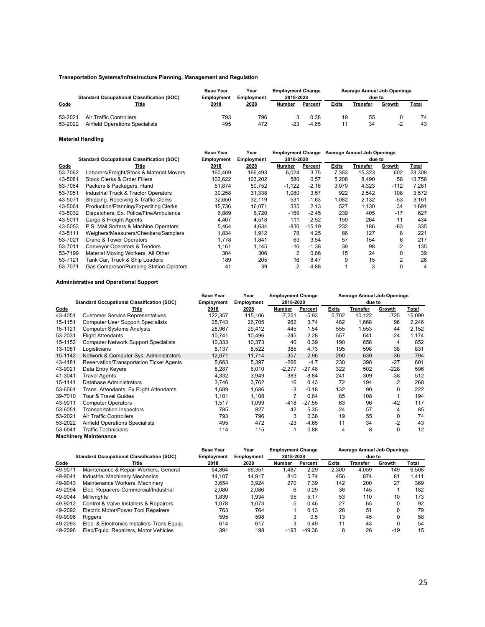#### **Transportation Systems/Infrastructure Planning, Management and Regulation**

| <b>Standard Occupational Classification (SOC)</b> |                                                            | <b>Base Year</b><br>Year<br><b>Employment</b><br><b>Employment</b> |            | <b>Employment Change</b><br>2018-2028 |                 | <b>Average Annual Job Openings</b><br>due to |          |        |          |
|---------------------------------------------------|------------------------------------------------------------|--------------------------------------------------------------------|------------|---------------------------------------|-----------------|----------------------------------------------|----------|--------|----------|
| Code                                              | <u>Title</u>                                               | 2018                                                               | 2028       | Number                                | Percent         | <b>Exits</b>                                 | Transfer | Growth | Total    |
| 53-2021<br>53-2022                                | Air Traffic Controllers<br>Airfield Operations Specialists | 793<br>495                                                         | 796<br>472 | -23                                   | 0.38<br>$-4.65$ | 19                                           | 55<br>34 | -2     | 74<br>43 |

#### **Material Handling**

|         |                                                   | <b>Base Year</b> | Year       | <b>Employment Change</b> |                | <b>Average Annual Job Openings</b> |          |        |              |
|---------|---------------------------------------------------|------------------|------------|--------------------------|----------------|------------------------------------|----------|--------|--------------|
|         | <b>Standard Occupational Classification (SOC)</b> | Employment       | Employment | 2018-2028                |                |                                    |          |        |              |
| Code    | Title                                             | 2018             | 2028       | Number                   | <b>Percent</b> | Exits                              | Transfer | Growth | <u>Total</u> |
| 53-7062 | Laborers/Freight/Stock & Material Movers          | 160,469          | 166,493    | 6,024                    | 3.75           | 7,383                              | 15,323   | 602    | 23,308       |
| 43-5081 | Stock Clerks & Order Fillers                      | 102,622          | 103,202    | 580                      | 0.57           | 5,208                              | 8,490    | 58     | 13,756       |
| 53-7064 | Packers & Packagers, Hand                         | 51.874           | 50,752     | $-1,122$                 | $-2.16$        | 3,070                              | 4,323    | $-112$ | 7,281        |
| 53-7051 | Industrial Truck & Tractor Operators              | 30,258           | 31,338     | 1,080                    | 3.57           | 922                                | 2,542    | 108    | 3,572        |
| 43-5071 | Shipping, Receiving & Traffic Clerks              | 32.650           | 32.119     | $-531$                   | $-1.63$        | 1,082                              | 2,132    | $-53$  | 3,161        |
| 43-5061 | Production/Planning/Expediting Clerks             | 15.736           | 16,071     | 335                      | 2.13           | 527                                | 1,130    | 34     | 1.691        |
| 43-5032 | Dispatchers, Ex. Police/Fire/Ambulance            | 6.889            | 6.720      | $-169$                   | $-2.45$        | 239                                | 405      | $-17$  | 627          |
| 43-5011 | Cargo & Freight Agents                            | 4.407            | 4.518      | 111                      | 2.52           | 159                                | 264      | 11     | 434          |
| 43-5053 | P.S. Mail Sorters & Machine Operators             | 5.464            | 4,634      | $-830$                   | $-15.19$       | 232                                | 186      | -83    | 335          |
| 43-5111 | Weighers/Measurers/Checkers/Samplers              | 1,834            | 1.912      | 78                       | 4.25           | 86                                 | 127      | 8      | 221          |
| 53-7021 | <b>Crane &amp; Tower Operators</b>                | 1.778            | 1.841      | 63                       | 3.54           | 57                                 | 154      | 6      | 217          |
| 53-7011 | <b>Conveyor Operators &amp; Tenders</b>           | 1,161            | 1,145      | $-16$                    | $-1.38$        | 39                                 | 98       | $-2$   | 135          |
| 53-7199 | Material Moving Workers, All Other                | 304              | 306        | 2                        | 0.66           | 15                                 | 24       |        | 39           |
| 53-7121 | Tank Car, Truck & Ship Loaders                    | 189              | 205        | 16                       | 8.47           | 9                                  | 15       | 2      | 26           |
| 53-7071 | Gas Compresor/Pumping Station Oprators            | 41               | 39         | $-2$                     | $-4.88$        |                                    | 3        | 0      | 4            |

#### **Administrative and Operational Support**

|         |                                                   |                   | <b>Base Year</b><br>Year<br><b>Employment Change</b> |           |          | <b>Average Annual Job Openings</b> |          |          |        |  |
|---------|---------------------------------------------------|-------------------|------------------------------------------------------|-----------|----------|------------------------------------|----------|----------|--------|--|
|         | <b>Standard Occupational Classification (SOC)</b> | <b>Employment</b> | Employment                                           | 2018-2028 |          |                                    | due to   |          |        |  |
| Code    | Title                                             | 2018              | 2028                                                 | Number    | Percent  | Exits                              | Transfer | Growth   | Total  |  |
| 43-4051 | <b>Customer Service Representatives</b>           | 122,357           | 115,106                                              | $-7,251$  | $-5.93$  | 5,702                              | 10,122   | -725     | 15,099 |  |
| 15-1151 | <b>Computer User Support Specialists</b>          | 25,743            | 26,705                                               | 962       | 3.74     | 482                                | 1,668    | 96       | 2,246  |  |
| 15-1121 | <b>Computer Systems Analysts</b>                  | 28,967            | 29,412                                               | 445       | 1.54     | 555                                | 1,553    | 44       | 2,152  |  |
| 53-2031 | <b>Flight Attendants</b>                          | 10.741            | 10,496                                               | $-245$    | $-2.28$  | 557                                | 641      | $-24$    | 1,174  |  |
| 15-1152 | <b>Computer Network Support Specialists</b>       | 10,333            | 10,373                                               | 40        | 0.39     | 190                                | 658      | 4        | 852    |  |
| 13-1081 | Logisticians                                      | 8,137             | 8,522                                                | 385       | 4.73     | 195                                | 598      | 38       | 831    |  |
| 15-1142 | Network & Computer Sys. Administrators            | 12,071            | 11,714                                               | $-357$    | $-2.96$  | 200                                | 630      | $-36$    | 794    |  |
| 43-4181 | <b>Reservation/Transportation Ticket Agents</b>   | 5,663             | 5,397                                                | $-266$    | $-4.7$   | 230                                | 398      | $-27$    | 601    |  |
| 43-9021 | Data Entry Keyers                                 | 8,287             | 6,010                                                | $-2,277$  | $-27.48$ | 322                                | 502      | $-228$   | 596    |  |
| 41-3041 | <b>Travel Agents</b>                              | 4,332             | 3,949                                                | -383      | $-8.84$  | 241                                | 309      | $-38$    | 512    |  |
| 15-1141 | Database Administrators                           | 3,746             | 3,762                                                | 16        | 0.43     | 72                                 | 194      | 2        | 268    |  |
| 53-6061 | Trans. Attendants, Ex Flight Attendants           | 1,689             | 1,686                                                | $-3$      | $-0.18$  | 132                                | 90       | $\Omega$ | 222    |  |
| 39-7010 | Tour & Travel Guides                              | 1,101             | 1,108                                                |           | 0.64     | 85                                 | 108      |          | 194    |  |
| 43-9011 | <b>Computer Operators</b>                         | 1,517             | 1,099                                                | -418      | $-27.55$ | 63                                 | 96       | -42      | 117    |  |
| 53-6051 | <b>Transportation Inspectors</b>                  | 785               | 827                                                  | 42        | 5.35     | 24                                 | 57       | 4        | 85     |  |
| 53-2021 | Air Traffic Controllers                           | 793               | 796                                                  | 3         | 0.38     | 19                                 | 55       | $\Omega$ | 74     |  |
| 53-2022 | <b>Airfield Operations Specialists</b>            | 495               | 472                                                  | $-23$     | $-4.65$  | 11                                 | 34       | $-2$     | 43     |  |
| 53-6041 | <b>Traffic Technicians</b>                        | 114               | 115                                                  |           | 0.88     | 4                                  | 8        | 0        | 12     |  |
|         | <b>Machinery Maintenance</b>                      |                   |                                                      |           |          |                                    |          |          |        |  |

|         |                                                   | <b>Base Year</b><br><b>Employment Change</b><br>Year |                   |           |          |              | Average Annual Job Openings |        |       |  |  |
|---------|---------------------------------------------------|------------------------------------------------------|-------------------|-----------|----------|--------------|-----------------------------|--------|-------|--|--|
|         | <b>Standard Occupational Classification (SOC)</b> | Employment                                           | <b>Employment</b> | 2018-2028 |          | due to       |                             |        |       |  |  |
| Code    | Title                                             | 2018                                                 | 2028              | Number    | Percent  | <b>Exits</b> | Transfer                    | Growth | Total |  |  |
| 49-9071 | Maintenance & Repair Workers, General             | 64.864                                               | 66.351            | 1.487     | 2.29     | 2.300        | 4.059                       | 149    | 6.508 |  |  |
| 49-9041 | Industrial Machinery Mechanics                    | 14.107                                               | 14.917            | 810       | 5.74     | 456          | 874                         | 81     | 1.411 |  |  |
| 49-9043 | Maintenance Workers, Machinery                    | 3.654                                                | 3.924             | 270       | 7.39     | 142          | 200                         | 27     | 369   |  |  |
| 49-2094 | Elec. Repairers-Commercial/Industrial             | 2.080                                                | 2.086             | 6         | 0.29     | 36           | 145                         |        | 182   |  |  |
| 49-9044 | <b>Millwrights</b>                                | 1.839                                                | 1.934             | 95        | 5.17     | 53           | 110                         | 10     | 173   |  |  |
| 49-9012 | Control & Valve Installers & Repairers            | 1.078                                                | 1.073             | -5        | $-0.46$  | 27           | 65                          |        | 92    |  |  |
| 49-2092 | Electric Motor/Power Tool Repairers               | 763                                                  | 764               |           | 0.13     | 28           | 51                          |        | 79    |  |  |
| 49-9096 | <b>Riggers</b>                                    | 595                                                  | 598               | 3         | 0.5      | 13           | 45                          |        | 58    |  |  |
| 49-2093 | Elec. & Electronics Installers-Trans. Equip.      | 614                                                  | 617               | 3         | 0.49     | 11           | 43                          |        | 54    |  |  |
| 49-2096 | Elec/Equip. Repairers, Motor Vehicles             | 391                                                  | 198               | $-193$    | $-49.36$ | 8            | 26                          | $-19$  | 15    |  |  |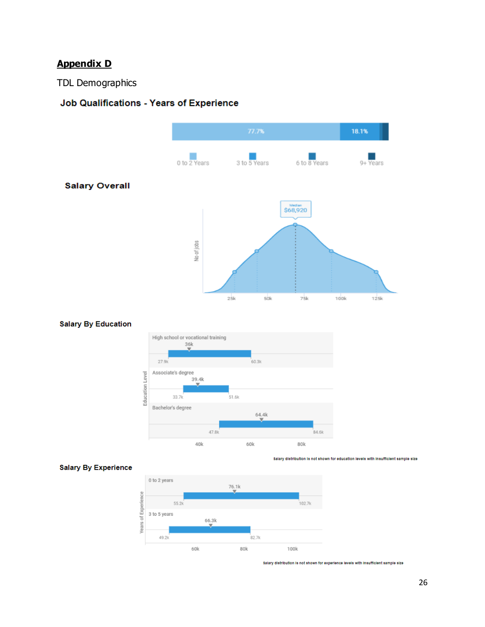## **Appendix D**

TDL Demographics

## Job Qualifications - Years of Experience



#### **Salary By Education**



#### **Salary By Experience**



Salary distribution is not shown for education levels with insufficient sample size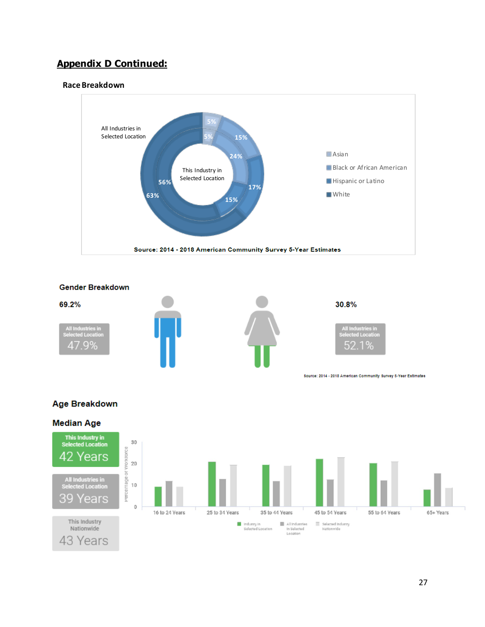#### **Race Breakdown**





#### **Age Breakdown**

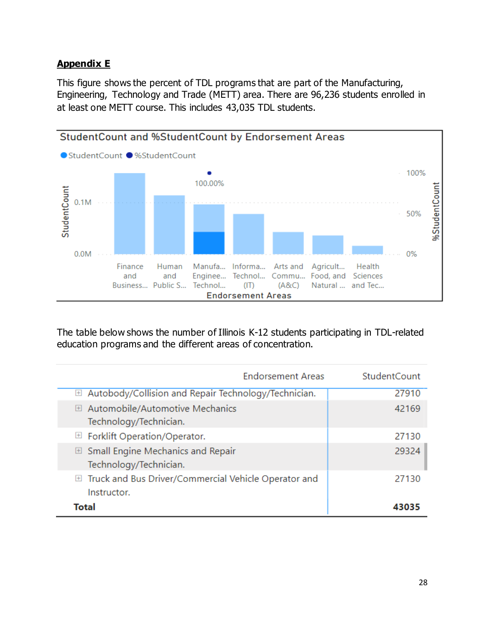## **Appendix E**

This figure shows the percent of TDL programs that are part of the Manufacturing, Engineering, Technology and Trade (METT) area. There are 96,236 students enrolled in at least one METT course. This includes 43,035 TDL students.



The table below shows the number of Illinois K-12 students participating in TDL-related education programs and the different areas of concentration.

| <b>Endorsement Areas</b>                                                     | <b>StudentCount</b> |
|------------------------------------------------------------------------------|---------------------|
| <b>E</b> Autobody/Collision and Repair Technology/Technician.                | 27910               |
| <b>⊞</b> Automobile/Automotive Mechanics<br>Technology/Technician.           | 42169               |
| $\Box$ Forklift Operation/Operator.                                          | 27130               |
| $\boxplus$ Small Engine Mechanics and Repair<br>Technology/Technician.       | 29324               |
| <b>E Truck and Bus Driver/Commercial Vehicle Operator and</b><br>Instructor. | 27130               |
| Total                                                                        |                     |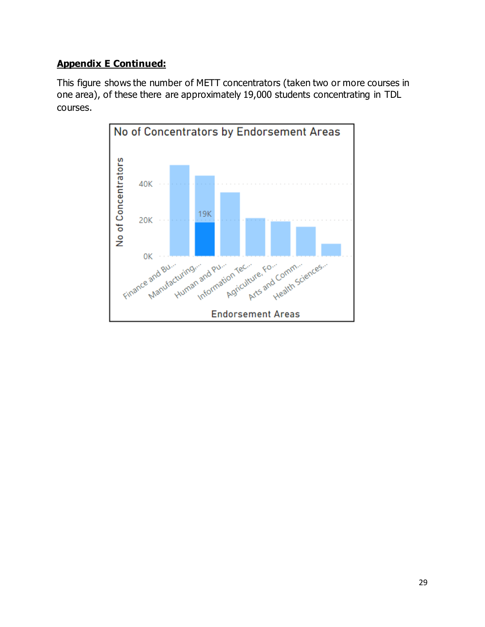This figure shows the number of METT concentrators (taken two or more courses in one area), of these there are approximately 19,000 students concentrating in TDL courses.

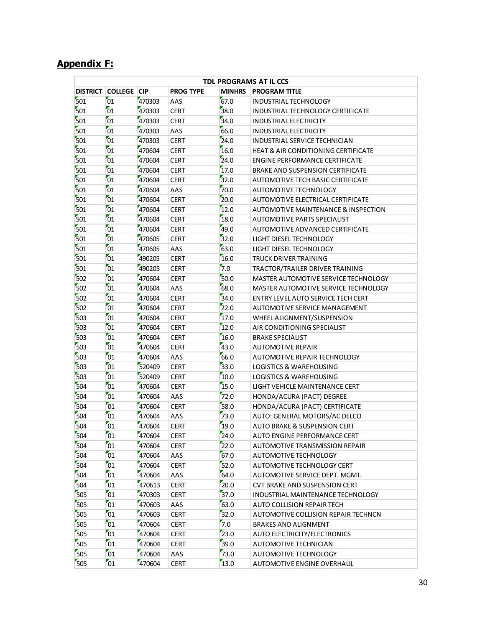## **Appendix F:**

|                 | TDL PROGRAMS AT IL CCS |        |                  |               |                                                |  |  |  |
|-----------------|------------------------|--------|------------------|---------------|------------------------------------------------|--|--|--|
| <b>DISTRICT</b> | <b>COLLEGE CIP</b>     |        | <b>PROG TYPE</b> | <b>MINHRS</b> | <b>PROGRAM TITLE</b>                           |  |  |  |
| 501             | 01                     | 470303 | AAS              | 67.0          | INDUSTRIAL TECHNOLOGY                          |  |  |  |
| 501             | 01                     | 470303 | <b>CERT</b>      | 38.0          | INDUSTRIAL TECHNOLOGY CERTIFICATE              |  |  |  |
| 501             | 01                     | 470303 | <b>CERT</b>      | 34.0          | <b>INDUSTRIAL ELECTRICITY</b>                  |  |  |  |
| 501             | 01                     | 470303 | AAS              | 66.0          | <b>INDUSTRIAL ELECTRICITY</b>                  |  |  |  |
| 501             | 01                     | 470303 | <b>CERT</b>      | 24.0          | INDUSTRIAL SERVICE TECHNICIAN                  |  |  |  |
| 501             | 01                     | 470604 | <b>CERT</b>      | 16.0          | <b>HEAT &amp; AIR CONDITIONING CERTIFICATE</b> |  |  |  |
| 501             | 01                     | 470604 | <b>CERT</b>      | 24.0          | <b>ENGINE PERFORMANCE CERTIFICATE</b>          |  |  |  |
| 501             | 01                     | 470604 | <b>CERT</b>      | 17.0          | BRAKE AND SUSPENSION CERTIFICATE               |  |  |  |
| 501             | 01                     | 470604 | <b>CERT</b>      | 32.0          | AUTOMOTIVE TECH BASIC CERTIFICATE              |  |  |  |
| 501             | 01                     | 470604 | AAS              | 70.0          | AUTOMOTIVE TECHNOLOGY                          |  |  |  |
| 501             | 01                     | 470604 | <b>CERT</b>      | 20.0          | AUTOMOTIVE ELECTRICAL CERTIFICATE              |  |  |  |
| 501             | 01                     | 470604 | <b>CERT</b>      | 12.0          | AUTOMOTIVE MAINTENANCE & INSPECTION            |  |  |  |
| 501             | 01                     | 470604 | <b>CERT</b>      | 18.0          | AUTOMOTIVE PARTS SPECIALIST                    |  |  |  |
| 501             | 01                     | 470604 | <b>CERT</b>      | 49.0          | AUTOMOTIVE ADVANCED CERTIFICATE                |  |  |  |
| 501             | 01                     | 470605 | <b>CERT</b>      | 32.0          | LIGHT DIESEL TECHNOLOGY                        |  |  |  |
| 501             | 01                     | 470605 | AAS              | 63.0          | LIGHT DIESEL TECHNOLOGY                        |  |  |  |
| 501             | 01                     | 490205 | <b>CERT</b>      | 16.0          | TRUCK DRIVER TRAINING                          |  |  |  |
| 501             | 01                     | 490205 | <b>CERT</b>      | 7.0           | TRACTOR/TRAILER DRIVER TRAINING                |  |  |  |
| 502             | 01                     | 470604 | <b>CERT</b>      | 50.0          | MASTER AUTOMOTIVE SERVICE TECHNOLOGY           |  |  |  |
| 502             | 01                     | 470604 | AAS              | 68.0          | <b>MASTER AUTOMOTIVE SERVICE TECHNOLOGY</b>    |  |  |  |
| 502             | 01                     | 470604 | <b>CERT</b>      | 34.0          | ENTRY LEVEL AUTO SERVICE TECH CERT             |  |  |  |
| 502             | 01                     | 470604 | <b>CERT</b>      | 22.0          | AUTOMOTIVE SERVICE MANAGEMENT                  |  |  |  |
| 503             | 01                     | 470604 | <b>CERT</b>      | 17.0          | WHEEL ALIGNMENT/SUSPENSION                     |  |  |  |
| 503             | 01                     | 470604 | <b>CERT</b>      | 12.0          | AIR CONDITIONING SPECIALIST                    |  |  |  |
| 503             | 01                     | 470604 | <b>CERT</b>      | 16.0          | <b>BRAKE SPECIALIST</b>                        |  |  |  |
| 503             | 01                     | 470604 | <b>CERT</b>      | 43.0          | <b>AUTOMOTIVE REPAIR</b>                       |  |  |  |
| 503             | 01                     | 470604 | AAS              | 66.0          | AUTOMOTIVE REPAIR TECHNOLOGY                   |  |  |  |
| 503             | 01                     | 520409 | <b>CERT</b>      | 33.0          | LOGISTICS & WAREHOUSING                        |  |  |  |
| 503             | 01                     | 520409 | <b>CERT</b>      | 10.0          | LOGISTICS & WAREHOUSING                        |  |  |  |
| 504             | 01                     | 470604 | <b>CERT</b>      | 15.0          | LIGHT VEHICLE MAINTENANCE CERT                 |  |  |  |
| 504             | 01                     | 470604 | AAS              | 72.0          | HONDA/ACURA (PACT) DEGREE                      |  |  |  |
| 504             | 01                     | 470604 | <b>CERT</b>      | 58.0          | HONDA/ACURA (PACT) CERTIFICATE                 |  |  |  |
| 504             | 01                     | 470604 | AAS              | 73.0          | AUTO: GENERAL MOTORS/AC DELCO                  |  |  |  |
| 504             | 01                     | 470604 | <b>CERT</b>      | 19.0          | <b>AUTO BRAKE &amp; SUSPENSION CERT</b>        |  |  |  |
| 504             | 01                     | 470604 | <b>CERT</b>      | 24.0          | AUTO ENGINE PERFORMANCE CERT                   |  |  |  |
| 504             | 01                     | 470604 | <b>CERT</b>      | 22.0          | AUTOMOTIVE TRANSMISSION REPAIR                 |  |  |  |
| 504             | 01                     | 470604 | AAS              | 67.0          | AUTOMOTIVE TECHNOLOGY                          |  |  |  |
| 504             | 01                     | 470604 | <b>CERT</b>      | 52.0          | AUTOMOTIVE TECHNOLOGY CERT                     |  |  |  |
| 504             | 01                     | 470604 | AAS              | 64.0          | AUTOMOTIVE SERVICE DEPT. MGMT.                 |  |  |  |
| 504             | 01                     | 470613 | <b>CERT</b>      | 20.0          | <b>CVT BRAKE AND SUSPENSION CERT</b>           |  |  |  |
| 505             | 01                     | 470303 | <b>CERT</b>      | 37.0          | INDUSTRIAL MAINTENANCE TECHNOLOGY              |  |  |  |
| 505             | 01                     | 470603 | AAS              | 63.0          | AUTO COLLISION REPAIR TECH                     |  |  |  |
| 505             | 01                     | 470603 | <b>CERT</b>      | 32.0          | AUTOMOTIVE COLLISION REPAIR TECHNCN            |  |  |  |
| 505             | 01                     | 470604 | <b>CERT</b>      | 7.0           | <b>BRAKES AND ALIGNMENT</b>                    |  |  |  |
| 505             | 01                     | 470604 | <b>CERT</b>      | 23.0          | AUTO ELECTRICITY/ELECTRONICS                   |  |  |  |
| 505             | 01                     | 470604 | <b>CERT</b>      | 39.0          | AUTOMOTIVE TECHNICIAN                          |  |  |  |
| 505             | 01                     | 470604 | AAS              | 73.0          | AUTOMOTIVE TECHNOLOGY                          |  |  |  |
| 505             | 01                     | 470604 | <b>CERT</b>      | 13.0          | AUTOMOTIVE ENGINE OVERHAUL                     |  |  |  |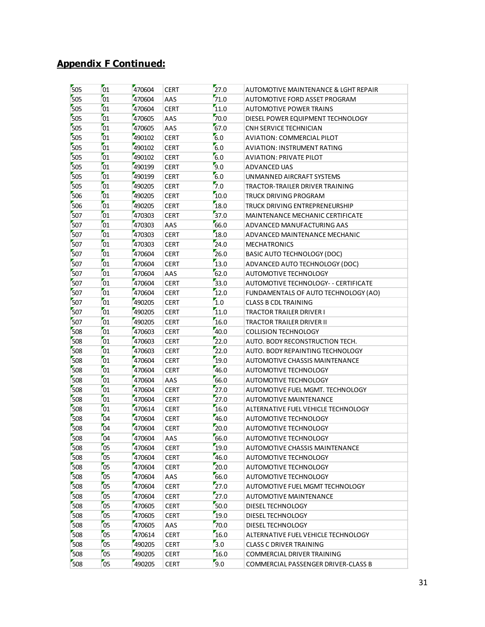| 505        | 01              | 470604 | CERT        | 27.0 | AUTOMOTIVE MAINTENANCE & LGHT REPAIR    |
|------------|-----------------|--------|-------------|------|-----------------------------------------|
| 505        | 01              | 470604 | AAS         | 71.0 | AUTOMOTIVE FORD ASSET PROGRAM           |
| 505        | 01              | 470604 | <b>CERT</b> | 11.0 | <b>AUTOMOTIVE POWER TRAINS</b>          |
| 505        | 01              | 470605 | AAS         | 70.0 | DIESEL POWER EQUIPMENT TECHNOLOGY       |
| 505        | 01              | 470605 | AAS         | 67.0 | CNH SERVICE TECHNICIAN                  |
| 505        | 01              | 490102 | <b>CERT</b> | 6.0  | AVIATION: COMMERCIAL PILOT              |
| 505        | 01              | 490102 | <b>CERT</b> | 6.0  | AVIATION: INSTRUMENT RATING             |
| 505        | 01              | 490102 | <b>CERT</b> | 6.0  | AVIATION: PRIVATE PILOT                 |
| 505        | 01              | 490199 | <b>CERT</b> | 9.0  | ADVANCED UAS                            |
| 505        | 01              | 490199 | <b>CERT</b> | 6.0  | UNMANNED AIRCRAFT SYSTEMS               |
| 505        | 01              | 490205 | <b>CERT</b> | 7.0  | TRACTOR-TRAILER DRIVER TRAINING         |
| 506        | 01              | 490205 | <b>CERT</b> | 10.0 | TRUCK DRIVING PROGRAM                   |
| 506        | 01              | 490205 | <b>CERT</b> | 18.0 | TRUCK DRIVING ENTREPRENEURSHIP          |
| 507        | 01              | 470303 | <b>CERT</b> | 37.0 | <b>MAINTENANCE MECHANIC CERTIFICATE</b> |
| 507        | 01              | 470303 | AAS         | 66.0 | ADVANCED MANUFACTURING AAS              |
| 507        | 01              | 470303 | CERT        | 18.0 | ADVANCED MAINTENANCE MECHANIC           |
| 507        | 01              | 470303 | <b>CERT</b> | 24.0 | <b>MECHATRONICS</b>                     |
| 507        | 01              | 470604 | <b>CERT</b> | 26.0 | <b>BASIC AUTO TECHNOLOGY (DOC)</b>      |
| 507        | 01              | 470604 | <b>CERT</b> | 13.0 | ADVANCED AUTO TECHNOLOGY (DOC)          |
| 507        | 01              | 470604 | AAS         | 62.0 | AUTOMOTIVE TECHNOLOGY                   |
| 507        | 01              | 470604 | <b>CERT</b> | 33.0 | AUTOMOTIVE TECHNOLOGY- - CERTIFICATE    |
| 507        | 01              | 470604 | <b>CERT</b> | 12.0 | FUNDAMENTALS OF AUTO TECHNOLOGY (AO)    |
| 507        | 01              | 490205 | <b>CERT</b> | 1.0  | <b>CLASS B CDL TRAINING</b>             |
| 507        | 01              |        |             |      |                                         |
|            | 01              | 490205 | <b>CERT</b> | 11.0 | TRACTOR TRAILER DRIVER I                |
| 507        | 01              | 490205 | <b>CERT</b> | 16.0 | TRACTOR TRAILER DRIVER II               |
| 508        |                 | 470603 | <b>CERT</b> | 40.0 | <b>COLLISION TECHNOLOGY</b>             |
| 508<br>508 | 01<br>01        | 470603 | <b>CERT</b> | 22.0 | AUTO. BODY RECONSTRUCTION TECH.         |
|            | $\overline{01}$ | 470603 | <b>CERT</b> | 22.0 | AUTO. BODY REPAINTING TECHNOLOGY        |
| 508        |                 | 470604 | <b>CERT</b> | 19.0 | AUTOMOTIVE CHASSIS MAINTENANCE          |
| 508        | 01              | 470604 | <b>CERT</b> | 46.0 | AUTOMOTIVE TECHNOLOGY                   |
| 508        | 01              | 470604 | AAS         | 66.0 | AUTOMOTIVE TECHNOLOGY                   |
| 508        | 01              | 470604 | <b>CERT</b> | 27.0 | AUTOMOTIVE FUEL MGMT. TECHNOLOGY        |
| 508        | 01              | 470604 | <b>CERT</b> | 27.0 | AUTOMOTIVE MAINTENANCE                  |
| 508        | 01              | 470614 | <b>CERT</b> | 16.0 | ALTERNATIVE FUEL VEHICLE TECHNOLOGY     |
| 508        | 04              | 470604 | <b>CERT</b> | 46.0 | <b>AUTOMOTIVE TECHNOLOGY</b>            |
| 508        | 04              | 470604 | <b>CERT</b> | 20.0 | <b>AUTOMOTIVE TECHNOLOGY</b>            |
| 508        | 04              | 470604 | AAS         | 66.0 | AUTOMOTIVE TECHNOLOGY                   |
| 508        | 05              | 470604 | <b>CERT</b> | 19.0 | AUTOMOTIVE CHASSIS MAINTENANCE          |
| 508        | 05              | 470604 | <b>CERT</b> | 46.0 | AUTOMOTIVE TECHNOLOGY                   |
| 508        | 05              | 470604 | <b>CERT</b> | 20.0 | AUTOMOTIVE TECHNOLOGY                   |
| 508        | 05              | 470604 | AAS         | 66.0 | AUTOMOTIVE TECHNOLOGY                   |
| 508        | 05              | 470604 | <b>CERT</b> | 27.0 | AUTOMOTIVE FUEL MGMT TECHNOLOGY         |
| 508        | 05              | 470604 | <b>CERT</b> | 27.0 | <b>AUTOMOTIVE MAINTENANCE</b>           |
| 508        | 05              | 470605 | <b>CERT</b> | 50.0 | DIESEL TECHNOLOGY                       |
| 508        | 05              | 470605 | <b>CERT</b> | 19.0 | DIESEL TECHNOLOGY                       |
| 508        | 05              | 470605 | AAS         | 70.0 | DIESEL TECHNOLOGY                       |
| 508        | 05              | 470614 | <b>CERT</b> | 16.0 | ALTERNATIVE FUEL VEHICLE TECHNOLOGY     |
| 508        | $\overline{0}5$ | 490205 | <b>CERT</b> | 3.0  | <b>CLASS C DRIVER TRAINING</b>          |
| 508        | 05              | 490205 | <b>CERT</b> | 16.0 | COMMERCIAL DRIVER TRAINING              |
| 508        | $\overline{05}$ | 490205 | <b>CERT</b> | 9.0  | COMMERCIAL PASSENGER DRIVER-CLASS B     |
|            |                 |        |             |      |                                         |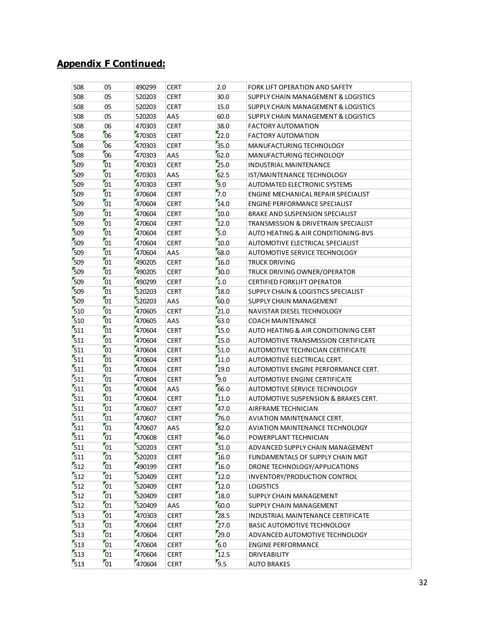| 508 | 05 | 490299 | <b>CERT</b> | 2.0  | FORK LIFT OPERATION AND SAFETY          |
|-----|----|--------|-------------|------|-----------------------------------------|
| 508 | 05 | 520203 | <b>CERT</b> | 30.0 | SUPPLY CHAIN MANAGEMENT & LOGISTICS     |
| 508 | 05 | 520203 | <b>CERT</b> | 15.0 | SUPPLY CHAIN MANAGEMENT & LOGISTICS     |
| 508 | 05 | 520203 | AAS         | 60.0 | SUPPLY CHAIN MANAGEMENT & LOGISTICS     |
| 508 | 06 | 470303 | <b>CERT</b> | 38.0 | <b>FACTORY AUTOMATION</b>               |
| 508 | 06 | 470303 | <b>CERT</b> | 22.0 | <b>FACTORY AUTOMATION</b>               |
| 508 | 06 | 470303 | <b>CERT</b> | 35.0 | MANUFACTURING TECHNOLOGY                |
| 508 | 06 | 470303 | AAS         | 62.0 | MANUFACTURING TECHNOLOGY                |
| 509 | 01 | 470303 | <b>CERT</b> | 25.0 | INDUSTRIAL MAINTENANCE                  |
| 509 | 01 | 470303 | AAS         | 62.5 | IST/MAINTENANCE TECHNOLOGY              |
| 509 | 01 | 470303 | <b>CERT</b> | 9.0  | AUTOMATED ELECTRONIC SYSTEMS            |
| 509 | 01 | 470604 | <b>CERT</b> | 7.0  | ENGINE MECHANICAL REPAIR SPECIALIST     |
| 509 | 01 | 470604 | <b>CERT</b> | 14.0 | <b>ENGINE PERFORMANCE SPECIALIST</b>    |
| 509 | 01 | 470604 | <b>CERT</b> | 10.0 | BRAKE AND SUSPENSION SPECIALIST         |
| 509 | 01 | 470604 | <b>CERT</b> | 12.0 | TRANSMISSION & DRIVETRAIN SPECIALIST    |
| 509 | 01 | 470604 | <b>CERT</b> | 5.0  | AUTO HEATING & AIR CONDITIONING-BVS     |
| 509 | 01 | 470604 | <b>CERT</b> | 10.0 | <b>AUTOMOTIVE ELECTRICAL SPECIALIST</b> |
| 509 | 01 | 470604 | AAS         | 68.0 | AUTOMOTIVE SERVICE TECHNOLOGY           |
| 509 | 01 | 490205 | <b>CERT</b> | 16.0 | <b>TRUCK DRIVING</b>                    |
| 509 | 01 | 490205 | <b>CERT</b> | 30.0 | TRUCK DRIVING OWNER/OPERATOR            |
| 509 | 01 | 490299 | <b>CERT</b> | 1.0  | <b>CERTIFIED FORKLIFT OPERATOR</b>      |
| 509 | 01 | 520203 | <b>CERT</b> | 18.0 | SUPPLY CHAIN & LOGISTICS SPECIALIST     |
| 509 | 01 | 520203 | AAS         | 60.0 | SUPPLY CHAIN MANAGEMENT                 |
| 510 | 01 | 470605 | <b>CERT</b> | 21.0 | NAVISTAR DIESEL TECHNOLOGY              |
| 510 | 01 | 470605 | AAS         | 63.0 | <b>COACH MAINTENANCE</b>                |
| 511 | 01 | 470604 | <b>CERT</b> | 15.0 | AUTO HEATING & AIR CONDITIONING CERT    |
| 511 | 01 | 470604 | <b>CERT</b> | 15.0 | AUTOMOTIVE TRANSMISSION CERTIFICATE     |
| 511 | 01 | 470604 | <b>CERT</b> | 51.0 | AUTOMOTIVE TECHNICIAN CERTIFICATE       |
| 511 | 01 | 470604 | <b>CERT</b> | 11.0 | AUTOMOTIVE ELECTRICAL CERT.             |
| 511 | 01 | 470604 | <b>CERT</b> | 19.0 | AUTOMOTIVE ENGINE PERFORMANCE CERT.     |
| 511 | 01 | 470604 | <b>CERT</b> | 9.0  | AUTOMOTIVE ENGINE CERTIFICATE           |
| 511 | 01 | 470604 | AAS         | 66.0 | AUTOMOTIVE SERVICE TECHNOLOGY           |
| 511 | 01 | 470604 | <b>CERT</b> | 11.0 | AUTOMOTIVE SUSPENSION & BRAKES CERT.    |
| 511 | 01 | 470607 | <b>CERT</b> | 47.0 | AIRFRAME TECHNICIAN                     |
| 511 | 01 | 470607 | <b>CERT</b> | 76.0 | AVIATION MAINTENANCE CERT.              |
| 511 | 01 | 470607 | AAS         | 82.0 | <b>AVIATION MAINTENANCE TECHNOLOGY</b>  |
| 511 | 01 | 470608 | <b>CERT</b> | 46.0 | POWERPLANT TECHNICIAN                   |
| 511 | 01 | 520203 | <b>CERT</b> | 31.0 | ADVANCED SUPPLY CHAIN MANAGEMENT        |
| 511 | 01 | 520203 | <b>CERT</b> | 16.0 | FUNDAMENTALS OF SUPPLY CHAIN MGT        |
| 512 | 01 | 490199 | <b>CERT</b> | 16.0 | DRONE TECHNOLOGY/APPLICATIONS           |
| 512 | 01 | 520409 | <b>CERT</b> | 12.0 | INVENTORY/PRODUCTION CONTROL            |
| 512 | 01 | 520409 | <b>CERT</b> | 12.0 | <b>LOGISTICS</b>                        |
| 512 | 01 | 520409 | <b>CERT</b> | 18.0 | SUPPLY CHAIN MANAGEMENT                 |
| 512 | 01 | 520409 | AAS         | 60.0 | SUPPLY CHAIN MANAGEMENT                 |
| 513 | 01 | 470303 | <b>CERT</b> | 28.5 | INDUSTRIAL MAINTENANCE CERTIFICATE      |
| 513 | 01 | 470604 | <b>CERT</b> | 27.0 | BASIC AUTOMOTIVE TECHNOLOGY             |
| 513 | 01 | 470604 | <b>CERT</b> | 29.0 | ADVANCED AUTOMOTIVE TECHNOLOGY          |
| 513 | 01 | 470604 | <b>CERT</b> | 6.0  | <b>ENGINE PERFORMANCE</b>               |
| 513 | 01 | 470604 | <b>CERT</b> | 12.5 | <b>DRIVEABILITY</b>                     |
| 513 | 01 | 470604 | <b>CERT</b> | 9.5  | <b>AUTO BRAKES</b>                      |
|     |    |        |             |      |                                         |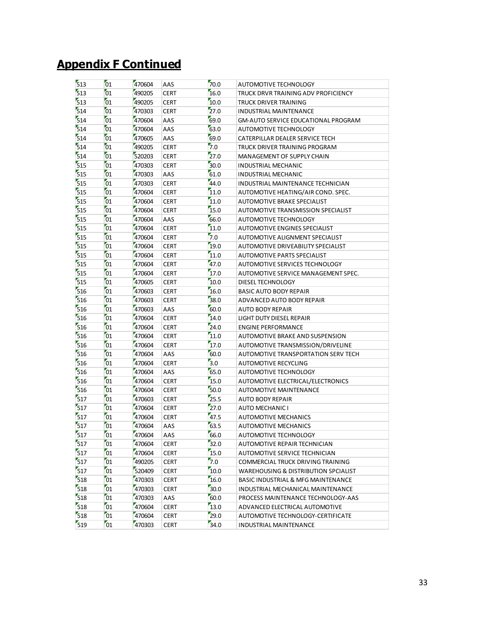| 513 | 01              | 470604 | AAS         | 70.0 | AUTOMOTIVE TECHNOLOGY                      |
|-----|-----------------|--------|-------------|------|--------------------------------------------|
| 513 | 01              | 490205 | <b>CERT</b> | 16.0 | TRUCK DRVR TRAINING ADV PROFICIENCY        |
| 513 | 01              | 490205 | <b>CERT</b> | 10.0 | TRUCK DRIVER TRAINING                      |
| 514 | 01              | 470303 | <b>CERT</b> | 27.0 | INDUSTRIAL MAINTENANCE                     |
| 514 | 01              | 470604 | AAS         | 69.0 | <b>GM-AUTO SERVICE EDUCATIONAL PROGRAM</b> |
| 514 | 01              | 470604 | AAS         | 63.0 | AUTOMOTIVE TECHNOLOGY                      |
| 514 | 01              | 470605 | AAS         | 69.0 | CATERPILLAR DEALER SERVICE TECH            |
| 514 | 01              | 490205 | <b>CERT</b> | 7.0  | TRUCK DRIVER TRAINING PROGRAM              |
| 514 | 01              | 520203 | <b>CERT</b> | 27.0 | MANAGEMENT OF SUPPLY CHAIN                 |
| 515 | 01              | 470303 | <b>CERT</b> | 30.0 | INDUSTRIAL MECHANIC                        |
| 515 | 01              | 470303 | AAS         | 61.0 | INDUSTRIAL MECHANIC                        |
| 515 | 01              | 470303 | <b>CERT</b> | 44.0 | INDUSTRIAL MAINTENANCE TECHNICIAN          |
| 515 | 01              | 470604 | <b>CERT</b> | 11.0 | AUTOMOTIVE HEATING/AIR COND. SPEC.         |
| 515 | 01              | 470604 | <b>CERT</b> | 11.0 | AUTOMOTIVE BRAKE SPECIALIST                |
| 515 | 01              | 470604 | <b>CERT</b> | 15.0 | AUTOMOTIVE TRANSMISSION SPECIALIST         |
| 515 | 01              | 470604 | AAS         | 66.0 | AUTOMOTIVE TECHNOLOGY                      |
| 515 | 01              | 470604 | <b>CERT</b> | 11.0 | AUTOMOTIVE ENGINES SPECIALIST              |
| 515 | 01              | 470604 | <b>CERT</b> | 7.0  | AUTOMOTIVE ALIGNMENT SPECIALIST            |
| 515 | 01              | 470604 | <b>CERT</b> | 19.0 | AUTOMOTIVE DRIVEABILITY SPECIALIST         |
| 515 | 01              | 470604 | <b>CERT</b> | 11.0 | AUTOMOTIVE PARTS SPECIALIST                |
| 515 | 01              | 470604 | <b>CERT</b> | 47.0 | AUTOMOTIVE SERVICES TECHNOLOGY             |
| 515 | 01              | 470604 | <b>CERT</b> | 17.0 | AUTOMOTIVE SERVICE MANAGEMENT SPEC.        |
| 515 | 01              | 470605 | <b>CERT</b> | 10.0 | DIESEL TECHNOLOGY                          |
| 516 | 01              | 470603 | <b>CERT</b> | 16.0 | <b>BASIC AUTO BODY REPAIR</b>              |
| 516 | 01              | 470603 | <b>CERT</b> | 38.0 | ADVANCED AUTO BODY REPAIR                  |
| 516 | 01              | 470603 | AAS         | 60.0 | <b>AUTO BODY REPAIR</b>                    |
| 516 | 01              | 470604 | <b>CERT</b> | 14.0 | LIGHT DUTY DIESEL REPAIR                   |
| 516 | 01              | 470604 | <b>CERT</b> | 24.0 | <b>ENGINE PERFORMANCE</b>                  |
| 516 | 01              | 470604 | <b>CERT</b> | 11.0 | AUTOMOTIVE BRAKE AND SUSPENSION            |
| 516 | 01              | 470604 | <b>CERT</b> | 17.0 | AUTOMOTIVE TRANSMISSION/DRIVELINE          |
| 516 | 01              | 470604 | AAS         | 60.0 | AUTOMOTIVE TRANSPORTATION SERV TECH        |
| 516 | 01              | 470604 | <b>CERT</b> | 3.0  | <b>AUTOMOTIVE RECYCLING</b>                |
| 516 | 01              | 470604 | AAS         | 65.0 | AUTOMOTIVE TECHNOLOGY                      |
| 516 | 01              | 470604 | <b>CERT</b> | 15.0 | AUTOMOTIVE ELECTRICAL/ELECTRONICS          |
| 516 | 01              | 470604 | <b>CERT</b> | 50.0 | <b>AUTOMOTIVE MAINTENANCE</b>              |
| 517 | 01              | 470603 | <b>CERT</b> | 25.5 | <b>AUTO BODY REPAIR</b>                    |
| 517 | 01              | 470604 | <b>CERT</b> | 27.0 | <b>AUTO MECHANIC I</b>                     |
| 517 | 01              | 470604 | <b>CERT</b> | 47.5 | <b>AUTOMOTIVE MECHANICS</b>                |
| 517 | 01              | 470604 | AAS         | 63.5 | <b>AUTOMOTIVE MECHANICS</b>                |
| 517 | $\overline{01}$ | 470604 | AAS         | 66.0 | AUTOMOTIVE TECHNOLOGY                      |
| 517 | 01              | 470604 | <b>CERT</b> | 32.0 | AUTOMOTIVE REPAIR TECHNICIAN               |
| 517 | 01              | 470604 | <b>CERT</b> | 15.0 | AUTOMOTIVE SERVICE TECHNICIAN              |
| 517 | 01              | 490205 | <b>CERT</b> | 7.0  | COMMERCIAL TRUCK DRIVING TRAINING          |
| 517 | 01              | 520409 | <b>CERT</b> | 10.0 | WAREHOUSING & DISTRIBUTION SPCIALIST       |
| 518 | 01              | 470303 |             | 16.0 |                                            |
| 518 | 01              |        | <b>CERT</b> | 50.0 | BASIC INDUSTRIAL & MFG MAINTENANCE         |
| 518 |                 | 470303 | <b>CERT</b> | 60.0 | INDUSTRIAL MECHANICAL MAINTENANCE          |
|     | 01              | 470303 | AAS         | 13.0 | PROCESS MAINTENANCE TECHNOLOGY-AAS         |
| 518 | 01              | 470604 | <b>CERT</b> |      | ADVANCED ELECTRICAL AUTOMOTIVE             |
| 518 | 01              | 470604 | <b>CERT</b> | 29.0 | AUTOMOTIVE TECHNOLOGY-CERTIFICATE          |
| 519 | 01              | 470303 | <b>CERT</b> | 34.0 | <b>INDUSTRIAL MAINTENANCE</b>              |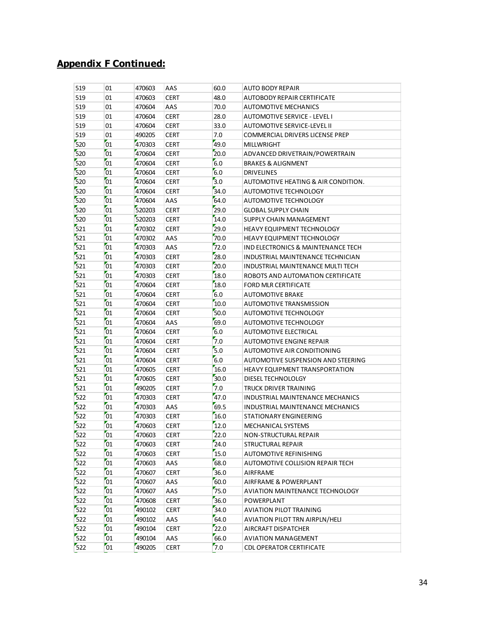| 519 | 01              | 470603 | AAS         | 60.0 | <b>AUTO BODY REPAIR</b>               |
|-----|-----------------|--------|-------------|------|---------------------------------------|
| 519 | 01              | 470603 | <b>CERT</b> | 48.0 | <b>AUTOBODY REPAIR CERTIFICATE</b>    |
| 519 | 01              | 470604 | AAS         | 70.0 | AUTOMOTIVE MECHANICS                  |
| 519 | 01              | 470604 | <b>CERT</b> | 28.0 | <b>AUTOMOTIVE SERVICE - LEVEL I</b>   |
| 519 | 01              | 470604 | <b>CERT</b> | 33.0 | AUTOMOTIVE SERVICE-LEVEL II           |
| 519 | 01              | 490205 | <b>CERT</b> | 7.0  | COMMERCIAL DRIVERS LICENSE PREP       |
| 520 | 01              | 470303 | <b>CERT</b> | 49.0 | <b>MILLWRIGHT</b>                     |
| 520 | 01              | 470604 | <b>CERT</b> | 20.0 | ADVANCED DRIVETRAIN/POWERTRAIN        |
| 520 | 01              | 470604 | <b>CERT</b> | 6.0  | <b>BRAKES &amp; ALIGNMENT</b>         |
| 520 | 01              | 470604 | <b>CERT</b> | 6.0  | <b>DRIVELINES</b>                     |
| 520 | 01              | 470604 | <b>CERT</b> | 3.0  | AUTOMOTIVE HEATING & AIR CONDITION.   |
| 520 | 01              | 470604 | <b>CERT</b> | 34.0 | AUTOMOTIVE TECHNOLOGY                 |
| 520 | 01              | 470604 | AAS         | 64.0 | AUTOMOTIVE TECHNOLOGY                 |
| 520 | 01              | 520203 | <b>CERT</b> | 29.0 | <b>GLOBAL SUPPLY CHAIN</b>            |
| 520 | 01              | 520203 | <b>CERT</b> | 14.0 | SUPPLY CHAIN MANAGEMENT               |
| 521 | 01              | 470302 | <b>CERT</b> | 29.0 | <b>HEAVY EQUIPMENT TECHNOLOGY</b>     |
| 521 | 01              | 470302 | AAS         | 70.0 | HEAVY EQUIPMENT TECHNOLOGY            |
| 521 | 01              | 470303 | AAS         | 72.0 | IND ELECTRONICS & MAINTENANCE TECH    |
| 521 | 01              | 470303 | <b>CERT</b> | 28.0 | INDUSTRIAL MAINTENANCE TECHNICIAN     |
| 521 | 01              | 470303 | <b>CERT</b> | 20.0 | INDUSTRIAL MAINTENANCE MULTI TECH     |
| 521 | 01              | 470303 | <b>CERT</b> | 18.0 | ROBOTS AND AUTOMATION CERTIFICATE     |
| 521 | 01              | 470604 | <b>CERT</b> | 18.0 | <b>FORD MLR CERTIFICATE</b>           |
| 521 | 01              | 470604 | <b>CERT</b> | 6.0  | <b>AUTOMOTIVE BRAKE</b>               |
| 521 | 01              | 470604 | <b>CERT</b> | 10.0 | AUTOMOTIVE TRANSMISSION               |
| 521 | 01              | 470604 | <b>CERT</b> | 50.0 | AUTOMOTIVE TECHNOLOGY                 |
| 521 | 01              | 470604 | AAS         | 69.0 | AUTOMOTIVE TECHNOLOGY                 |
| 521 | 01              | 470604 | <b>CERT</b> | 6.0  | <b>AUTOMOTIVE ELECTRICAL</b>          |
| 521 | 01              | 470604 | <b>CERT</b> | 7.0  | <b>AUTOMOTIVE ENGINE REPAIR</b>       |
| 521 | 01              | 470604 | <b>CERT</b> | 5.0  | AUTOMOTIVE AIR CONDITIONING           |
| 521 | 01              | 470604 | <b>CERT</b> | 6.0  | AUTOMOTIVE SUSPENSION AND STEERING    |
| 521 | 01              | 470605 | <b>CERT</b> | 16.0 | <b>HEAVY EQUIPMENT TRANSPORTATION</b> |
| 521 | 01              | 470605 | <b>CERT</b> | 30.0 | DIESEL TECHNOLOLGY                    |
| 521 | 01              | 490205 | <b>CERT</b> | 7.0  | TRUCK DRIVER TRAINING                 |
| 522 | 01              | 470303 | <b>CERT</b> | 47.0 | INDUSTRIAL MAINTENANCE MECHANICS      |
| 522 | 01              | 470303 | AAS         | 69.5 | INDUSTRIAL MAINTENANCE MECHANICS      |
| 522 | 01              | 470303 | <b>CERT</b> | 16.0 | STATIONARY ENGINEERING                |
| 522 | 01              | 470603 | <b>CERT</b> | 12.0 | <b>MECHANICAL SYSTEMS</b>             |
| 522 | 01              | 470603 | <b>CERT</b> | 22.0 | <b>NON-STRUCTURAL REPAIR</b>          |
| 522 | $\overline{01}$ | 470603 | <b>CERT</b> | 24.0 | STRUCTURAL REPAIR                     |
| 522 | $\overline{01}$ | 470603 | <b>CERT</b> | 15.0 | <b>AUTOMOTIVE REFINISHING</b>         |
| 522 | 01              | 470603 | AAS         | 68.0 | AUTOMOTIVE COLLISION REPAIR TECH      |
| 522 | 01              | 470607 | <b>CERT</b> | 36.0 | AIRFRAME                              |
| 522 | 01              | 470607 | AAS         | 60.0 | AIRFRAME & POWERPLANT                 |
| 522 | 01              | 470607 | AAS         | 75.0 | AVIATION MAINTENANCE TECHNOLOGY       |
| 522 | 01              | 470608 | <b>CERT</b> | 36.0 | POWERPLANT                            |
| 522 | 01              | 490102 | <b>CERT</b> | 34.0 | <b>AVIATION PILOT TRAINING</b>        |
| 522 | 01              | 490102 | AAS         | 64.0 | AVIATION PILOT TRN AIRPLN/HELI        |
| 522 | 01              | 490104 | <b>CERT</b> | 22.0 | AIRCRAFT DISPATCHER                   |
| 522 | 01              | 490104 | AAS         | 66.0 | <b>AVIATION MANAGEMENT</b>            |
| 522 | 01              | 490205 | <b>CERT</b> | 7.0  | <b>CDL OPERATOR CERTIFICATE</b>       |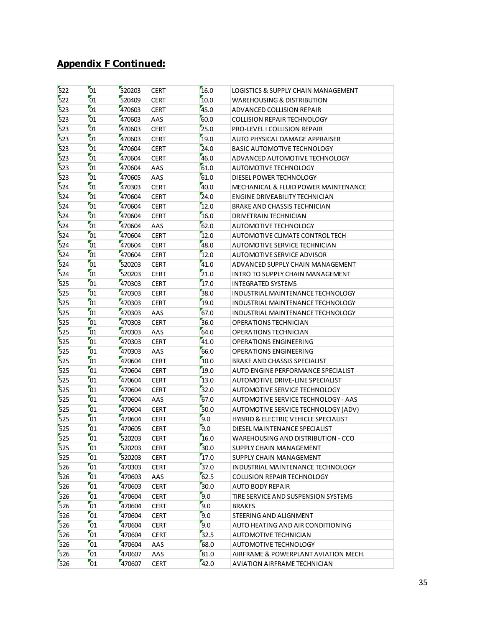| 522 | 01              | 520203 | <b>CERT</b> | 16.0 | LOGISTICS & SUPPLY CHAIN MANAGEMENT   |
|-----|-----------------|--------|-------------|------|---------------------------------------|
| 522 | 01              | 520409 | <b>CERT</b> | 10.0 | <b>WAREHOUSING &amp; DISTRIBUTION</b> |
| 523 | 01              | 470603 | <b>CERT</b> | 45.0 | ADVANCED COLLISION REPAIR             |
| 523 | 01              | 470603 | AAS         | 60.0 | <b>COLLISION REPAIR TECHNOLOGY</b>    |
| 523 | 01              | 470603 | <b>CERT</b> | 25.0 | PRO-LEVEL I COLLISION REPAIR          |
| 523 | 01              | 470603 | <b>CERT</b> | 19.0 | AUTO PHYSICAL DAMAGE APPRAISER        |
| 523 | 01              | 470604 | <b>CERT</b> | 24.0 | <b>BASIC AUTOMOTIVE TECHNOLOGY</b>    |
| 523 | 01              | 470604 | <b>CERT</b> | 46.0 | ADVANCED AUTOMOTIVE TECHNOLOGY        |
| 523 | 01              | 470604 | AAS         | 61.0 | AUTOMOTIVE TECHNOLOGY                 |
| 523 | 01              | 470605 | AAS         | 61.0 | DIESEL POWER TECHNOLOGY               |
| 524 | 01              | 470303 | <b>CERT</b> | 40.0 | MECHANICAL & FLUID POWER MAINTENANCE  |
| 524 | 01              | 470604 | <b>CERT</b> | 24.0 | <b>ENGINE DRIVEABILITY TECHNICIAN</b> |
| 524 | 01              | 470604 | <b>CERT</b> | 12.0 | BRAKE AND CHASSIS TECHNICIAN          |
| 524 | 01              | 470604 | <b>CERT</b> | 16.0 | DRIVETRAIN TECHNICIAN                 |
| 524 | 01              | 470604 | AAS         | 62.0 | AUTOMOTIVE TECHNOLOGY                 |
| 524 | 01              | 470604 | <b>CERT</b> | 12.0 | AUTOMOTIVE CLIMATE CONTROL TECH       |
| 524 | 01              | 470604 | <b>CERT</b> | 48.0 | <b>AUTOMOTIVE SERVICE TECHNICIAN</b>  |
| 524 | 01              | 470604 | <b>CERT</b> | 12.0 | AUTOMOTIVE SERVICE ADVISOR            |
| 524 | 01              | 520203 | <b>CERT</b> | 41.0 | ADVANCED SUPPLY CHAIN MANAGEMENT      |
| 524 | 01              | 520203 | <b>CERT</b> | 21.0 | INTRO TO SUPPLY CHAIN MANAGEMENT      |
| 525 | 01              | 470303 | <b>CERT</b> | 17.0 | <b>INTEGRATED SYSTEMS</b>             |
| 525 | 01              | 470303 | <b>CERT</b> | 38.0 | INDUSTRIAL MAINTENANCE TECHNOLOGY     |
| 525 | 01              | 470303 | <b>CERT</b> | 19.0 | INDUSTRIAL MAINTENANCE TECHNOLOGY     |
| 525 | 01              | 470303 | AAS         | 67.0 | INDUSTRIAL MAINTENANCE TECHNOLOGY     |
| 525 | 01              | 470303 | <b>CERT</b> | 36.0 | OPERATIONS TECHNICIAN                 |
| 525 | 01              | 470303 | AAS         | 64.0 | OPERATIONS TECHNICIAN                 |
| 525 | 01              | 470303 | <b>CERT</b> | 41.0 | <b>OPERATIONS ENGINEERING</b>         |
| 525 | 01              | 470303 | AAS         | 66.0 | <b>OPERATIONS ENGINEERING</b>         |
| 525 | 01              | 470604 | <b>CERT</b> | 10.0 | BRAKE AND CHASSIS SPECIALIST          |
| 525 | 01              | 470604 | <b>CERT</b> | 19.0 | AUTO ENGINE PERFORMANCE SPECIALIST    |
| 525 | $\overline{01}$ | 470604 | <b>CERT</b> | 13.0 | AUTOMOTIVE DRIVE-LINE SPECIALIST      |
| 525 | 01              | 470604 | <b>CERT</b> | 32.0 | AUTOMOTIVE SERVICE TECHNOLOGY         |
| 525 | 01              | 470604 | AAS         | 67.0 | AUTOMOTIVE SERVICE TECHNOLOGY - AAS   |
| 525 | 01              | 470604 | <b>CERT</b> | 50.0 | AUTOMOTIVE SERVICE TECHNOLOGY (ADV)   |
| 525 | 01              | 470604 | <b>CERT</b> | 9.0  | HYBRID & ELECTRIC VEHICLE SPECIALIST  |
| 525 | 01              | 470605 | <b>CERT</b> | 9.0  | DIESEL MAINTENANCE SPECIALIST         |
| 525 | 01              | 520203 | <b>CERT</b> | 16.0 | WAREHOUSING AND DISTRIBUTION - CCO    |
| 525 | 01              | 520203 | <b>CERT</b> | 50.0 | SUPPLY CHAIN MANAGEMENT               |
| 525 | 01              | 520203 | <b>CERT</b> | 17.0 | SUPPLY CHAIN MANAGEMENT               |
| 526 | 01              | 470303 | <b>CERT</b> | 37.0 | INDUSTRIAL MAINTENANCE TECHNOLOGY     |
| 526 | 01              | 470603 | AAS         | 62.5 | <b>COLLISION REPAIR TECHNOLOGY</b>    |
| 526 | 01              | 470603 | <b>CERT</b> | 30.0 | <b>AUTO BODY REPAIR</b>               |
| 526 | 01              | 470604 | <b>CERT</b> | 9.0  | TIRE SERVICE AND SUSPENSION SYSTEMS   |
| 526 | 01              | 470604 | <b>CERT</b> | 9.0  | <b>BRAKES</b>                         |
| 526 | 01              | 470604 | <b>CERT</b> | 9.0  | STEERING AND ALIGNMENT                |
| 526 | 01              | 470604 | <b>CERT</b> | 9.0  | AUTO HEATING AND AIR CONDITIONING     |
| 526 | 01              | 470604 | <b>CERT</b> | 32.5 | AUTOMOTIVE TECHNICIAN                 |
| 526 | 01              | 470604 | AAS         | 68.0 | AUTOMOTIVE TECHNOLOGY                 |
| 526 | 01              | 470607 | AAS         | 81.0 | AIRFRAME & POWERPLANT AVIATION MECH.  |
| 526 | 01              | 470607 | <b>CERT</b> | 42.0 | AVIATION AIRFRAME TECHNICIAN          |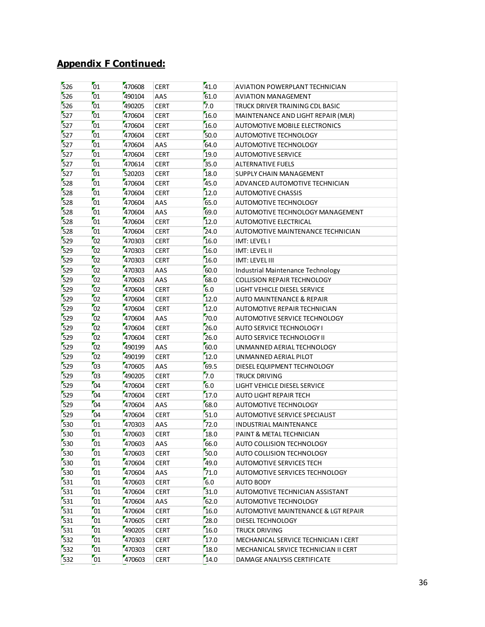| 526 | 01              | 470608 | <b>CERT</b> | 41.0 | AVIATION POWERPLANT TECHNICIAN       |
|-----|-----------------|--------|-------------|------|--------------------------------------|
| 526 | 01              | 490104 | AAS         | 61.0 | <b>AVIATION MANAGEMENT</b>           |
| 526 | 01              | 490205 | <b>CERT</b> | 7.0  | TRUCK DRIVER TRAINING CDL BASIC      |
| 527 | 01              | 470604 | <b>CERT</b> | 16.0 | MAINTENANCE AND LIGHT REPAIR (MLR)   |
| 527 | 01              | 470604 | <b>CERT</b> | 16.0 | AUTOMOTIVE MOBILE ELECTRONICS        |
| 527 | 01              | 470604 | <b>CERT</b> | 50.0 | <b>AUTOMOTIVE TECHNOLOGY</b>         |
| 527 | 01              | 470604 | AAS         | 64.0 | AUTOMOTIVE TECHNOLOGY                |
| 527 | 01              | 470604 | <b>CERT</b> | 19.0 | <b>AUTOMOTIVE SERVICE</b>            |
| 527 | 01              | 470614 | <b>CERT</b> | 35.0 | <b>ALTERNATIVE FUELS</b>             |
| 527 | 01              | 520203 | <b>CERT</b> | 18.0 | SUPPLY CHAIN MANAGEMENT              |
| 528 | 01              | 470604 | <b>CERT</b> | 45.0 | ADVANCED AUTOMOTIVE TECHNICIAN       |
| 528 | 01              | 470604 | <b>CERT</b> | 12.0 | <b>AUTOMOTIVE CHASSIS</b>            |
| 528 | 01              | 470604 | AAS         | 65.0 | AUTOMOTIVE TECHNOLOGY                |
| 528 | 01              | 470604 | AAS         | 69.0 | AUTOMOTIVE TECHNOLOGY MANAGEMENT     |
| 528 | 01              | 470604 | <b>CERT</b> | 12.0 | <b>AUTOMOTIVE ELECTRICAL</b>         |
| 528 | 01              | 470604 | <b>CERT</b> | 24.0 | AUTOMOTIVE MAINTENANCE TECHNICIAN    |
| 529 | 02              | 470303 | <b>CERT</b> | 16.0 | IMT: LEVEL I                         |
| 529 | 02              | 470303 | <b>CERT</b> | 16.0 | IMT: LEVEL II                        |
| 529 | 02              | 470303 | <b>CERT</b> | 16.0 | IMT: LEVEL III                       |
| 529 | 02              | 470303 | AAS         | 60.0 | Industrial Maintenance Technology    |
| 529 | 02              | 470603 | AAS         | 68.0 | <b>COLLISION REPAIR TECHNOLOGY</b>   |
| 529 | 02              | 470604 | <b>CERT</b> | 6.0  | LIGHT VEHICLE DIESEL SERVICE         |
| 529 | 02              | 470604 | <b>CERT</b> | 12.0 | <b>AUTO MAINTENANCE &amp; REPAIR</b> |
| 529 | 02              | 470604 | <b>CERT</b> | 12.0 | AUTOMOTIVE REPAIR TECHNICIAN         |
| 529 | 02              | 470604 | AAS         | 70.0 | AUTOMOTIVE SERVICE TECHNOLOGY        |
| 529 | 02              | 470604 | <b>CERT</b> | 26.0 | AUTO SERVICE TECHNOLOGY I            |
| 529 | 02              | 470604 | <b>CERT</b> | 26.0 | AUTO SERVICE TECHNOLOGY II           |
| 529 | 02              | 490199 | AAS         | 60.0 | UNMANNED AERIAL TECHNOLOGY           |
| 529 | 02              | 490199 | <b>CERT</b> | 12.0 | UNMANNED AERIAL PILOT                |
| 529 | 03              | 470605 | AAS         | 69.5 | DIESEL EQUIPMENT TECHNOLOGY          |
| 529 | 03              | 490205 | <b>CERT</b> | 7.0  | TRUCK DRIVING                        |
| 529 | 04              | 470604 | <b>CERT</b> | 6.0  | LIGHT VEHICLE DIESEL SERVICE         |
| 529 | 04              | 470604 | <b>CERT</b> | 17.0 | AUTO LIGHT REPAIR TECH               |
| 529 | 04              | 470604 | AAS         | 68.0 | AUTOMOTIVE TECHNOLOGY                |
| 529 | 04              | 470604 | <b>CERT</b> | 51.0 | AUTOMOTIVE SERVICE SPECIALIST        |
| 530 | 01              | 470303 | AAS         | 72.0 | <b>INDUSTRIAL MAINTENANCE</b>        |
| 530 | 01              | 470603 | <b>CERT</b> | 18.0 | PAINT & METAL TECHNICIAN             |
| 530 | $\overline{01}$ | 470603 | AAS         | 66.0 | AUTO COLLISION TECHNOLOGY            |
| 530 | 01              | 470603 | <b>CERT</b> | 50.0 | AUTO COLLISION TECHNOLOGY            |
| 530 | 01              | 470604 | <b>CERT</b> | 49.0 | AUTOMOTIVE SERVICES TECH             |
| 530 | 01              | 470604 | AAS         | 71.0 | AUTOMOTIVE SERVICES TECHNOLOGY       |
| 531 | 01              | 470603 | <b>CERT</b> | 6.0  | AUTO BODY                            |
| 531 | 01              | 470604 | <b>CERT</b> | 31.0 | AUTOMOTIVE TECHNICIAN ASSISTANT      |
| 531 | 01              | 470604 | AAS         | 62.0 | AUTOMOTIVE TECHNOLOGY                |
| 531 | 01              | 470604 | <b>CERT</b> | 16.0 | AUTOMOTIVE MAINTENANCE & LGT REPAIR  |
| 531 | 01              | 470605 | <b>CERT</b> | 28.0 | DIESEL TECHNOLOGY                    |
| 531 | 01              | 490205 | <b>CERT</b> | 16.0 | TRUCK DRIVING                        |
| 532 | 01              | 470303 | <b>CERT</b> | 17.0 | MECHANICAL SERVICE TECHNICIAN I CERT |
| 532 | 01              | 470303 | <b>CERT</b> | 18.0 | MECHANICAL SRVICE TECHNICIAN II CERT |
| 532 | 01              | 470603 | <b>CERT</b> | 14.0 | DAMAGE ANALYSIS CERTIFICATE          |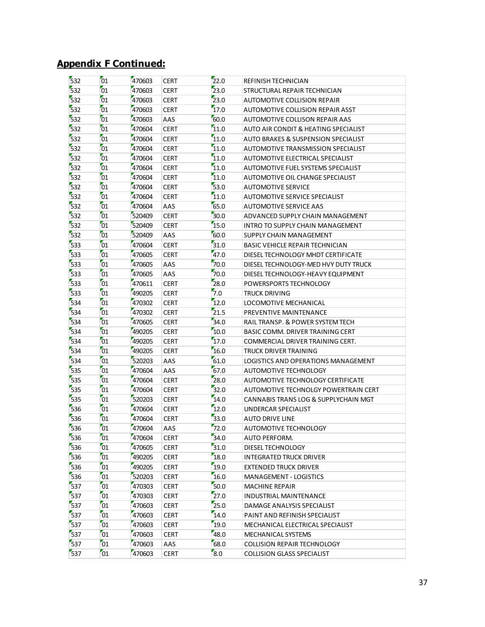| 532 | 01 | 470603 | <b>CERT</b> | $\overline{22.0}$ | REFINISH TECHNICIAN                    |
|-----|----|--------|-------------|-------------------|----------------------------------------|
| 532 | 01 | 470603 | <b>CERT</b> | 23.0              | STRUCTURAL REPAIR TECHNICIAN           |
| 532 | 01 | 470603 | <b>CERT</b> | 23.0              | <b>AUTOMOTIVE COLLISION REPAIR</b>     |
| 532 | 01 | 470603 | <b>CERT</b> | 17.0              | AUTOMOTIVE COLLISION REPAIR ASST       |
| 532 | 01 | 470603 | AAS         | 60.0              | AUTOMOTIVE COLLISON REPAIR AAS         |
| 532 | 01 | 470604 | <b>CERT</b> | 11.0              | AUTO AIR CONDIT & HEATING SPECIALIST   |
| 532 | 01 | 470604 | <b>CERT</b> | 11.0              | AUTO BRAKES & SUSPENSION SPECIALIST    |
| 532 | 01 | 470604 | <b>CERT</b> | 11.0              | AUTOMOTIVE TRANSMISSION SPECIALIST     |
| 532 | 01 | 470604 | <b>CERT</b> | 11.0              | AUTOMOTIVE ELECTRICAL SPECIALIST       |
| 532 | 01 | 470604 | <b>CERT</b> | 11.0              | AUTOMOTIVE FUEL SYSTEMS SPECIALIST     |
| 532 | 01 | 470604 | <b>CERT</b> | 11.0              | AUTOMOTIVE OIL CHANGE SPECIALIST       |
| 532 | 01 | 470604 | <b>CERT</b> | 53.0              | <b>AUTOMOTIVE SERVICE</b>              |
| 532 | 01 | 470604 | <b>CERT</b> | 11.0              | AUTOMOTIVE SERVICE SPECIALIST          |
| 532 | 01 | 470604 | AAS         | 65.0              | AUTOMOTIVE SERVICE AAS                 |
| 532 | 01 | 520409 | <b>CERT</b> | 30.0              | ADVANCED SUPPLY CHAIN MANAGEMENT       |
| 532 | 01 | 520409 | <b>CERT</b> | 15.0              | INTRO TO SUPPLY CHAIN MANAGEMENT       |
| 532 | 01 | 520409 | AAS         | 60.0              | SUPPLY CHAIN MANAGEMENT                |
| 533 | 01 | 470604 | <b>CERT</b> | 31.0              | <b>BASIC VEHICLE REPAIR TECHNICIAN</b> |
| 533 | 01 | 470605 | <b>CERT</b> | 47.0              | DIESEL TECHNOLOGY MHDT CERTIFICATE     |
| 533 | 01 | 470605 | AAS         | 70.0              | DIESEL TECHNOLOGY-MED HVY DUTY TRUCK   |
| 533 | 01 | 470605 | AAS         | 70.0              | DIESEL TECHNOLOGY-HEAVY EQUIPMENT      |
| 533 | 01 | 470611 | <b>CERT</b> | 28.0              | POWERSPORTS TECHNOLOGY                 |
| 533 | 01 | 490205 | <b>CERT</b> | 7.0               | <b>TRUCK DRIVING</b>                   |
| 534 | 01 | 470302 | <b>CERT</b> | 12.0              | LOCOMOTIVE MECHANICAL                  |
| 534 | 01 | 470302 | <b>CERT</b> | 21.5              | PREVENTIVE MAINTENANCE                 |
| 534 | 01 | 470605 | <b>CERT</b> | 34.0              | RAIL TRANSP. & POWER SYSTEM TECH       |
| 534 | 01 | 490205 | <b>CERT</b> | 10.0              | BASIC COMM. DRIVER TRAINING CERT       |
| 534 | 01 | 490205 | <b>CERT</b> | 17.0              | COMMERCIAL DRIVER TRAINING CERT.       |
| 534 | 01 | 490205 | <b>CERT</b> | 16.0              | TRUCK DRIVER TRAINING                  |
| 534 | 01 | 520203 | AAS         | 61.0              | LOGISTICS AND OPERATIONS MANAGEMENT    |
| 535 | 01 | 470604 | AAS         | 67.0              | AUTOMOTIVE TECHNOLOGY                  |
| 535 | 01 | 470604 | <b>CERT</b> | 28.0              | AUTOMOTIVE TECHNOLOGY CERTIFICATE      |
| 535 | 01 | 470604 | <b>CERT</b> | 32.0              | AUTOMOTIVE TECHNOLGY POWERTRAIN CERT   |
| 535 | 01 | 520203 | <b>CERT</b> | 14.0              | CANNABIS TRANS LOG & SUPPLYCHAIN MGT   |
| 536 | 01 | 470604 | <b>CERT</b> | 12.0              | UNDERCAR SPECIALIST                    |
| 536 | 01 | 470604 | <b>CERT</b> | 33.0              | AUTO DRIVE LINE                        |
| 536 | 01 | 470604 | AAS         | 72.0              | AUTOMOTIVE TECHNOLOGY                  |
| 536 | 01 | 470604 | <b>CERT</b> | 34.0              | AUTO PERFORM.                          |
| 536 | 01 | 470605 | <b>CERT</b> | 31.0              | DIESEL TECHNOLOGY                      |
| 536 | 01 | 490205 | <b>CERT</b> | 18.0              | INTEGRATED TRUCK DRIVER                |
| 536 | 01 | 490205 | <b>CERT</b> | 19.0              | EXTENDED TRUCK DRIVER                  |
| 536 | 01 | 520203 | <b>CERT</b> | 16.0              | <b>MANAGEMENT - LOGISTICS</b>          |
| 537 | 01 | 470303 | <b>CERT</b> | 50.0              | <b>MACHINE REPAIR</b>                  |
| 537 | 01 | 470303 | <b>CERT</b> | 27.0              | INDUSTRIAL MAINTENANCE                 |
| 537 | 01 | 470603 | <b>CERT</b> | 25.0              | DAMAGE ANALYSIS SPECIALIST             |
| 537 | 01 | 470603 | <b>CERT</b> | 14.0              | PAINT AND REFINISH SPECIALIST          |
| 537 | 01 | 470603 | <b>CERT</b> | 19.0              | MECHANICAL ELECTRICAL SPECIALIST       |
| 537 | 01 | 470603 | <b>CERT</b> | 48.0              | MECHANICAL SYSTEMS                     |
| 537 | 01 | 470603 | AAS         | 68.0              | <b>COLLISION REPAIR TECHNOLOGY</b>     |
| 537 | 01 | 470603 | <b>CERT</b> | 8.0               | <b>COLLISION GLASS SPECIALIST</b>      |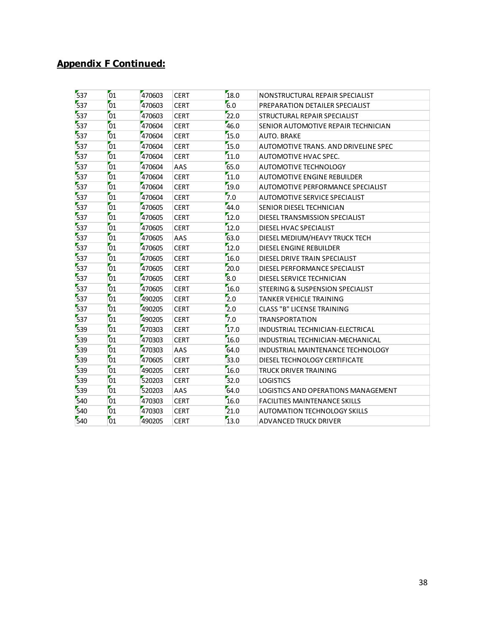| 537 | 01 | 470603 | <b>CERT</b> | 18.0 | NONSTRUCTURAL REPAIR SPECIALIST      |
|-----|----|--------|-------------|------|--------------------------------------|
| 537 | 01 | 470603 | <b>CERT</b> | 6.0  | PREPARATION DETAILER SPECIALIST      |
| 537 | 01 | 470603 | <b>CERT</b> | 22.0 | STRUCTURAL REPAIR SPECIALIST         |
| 537 | 01 | 470604 | <b>CERT</b> | 46.0 | SENIOR AUTOMOTIVE REPAIR TECHNICIAN  |
| 537 | 01 | 470604 | <b>CERT</b> | 15.0 | AUTO. BRAKE                          |
| 537 | 01 | 470604 | <b>CERT</b> | 15.0 | AUTOMOTIVE TRANS. AND DRIVELINE SPEC |
| 537 | 01 | 470604 | <b>CERT</b> | 11.0 | AUTOMOTIVE HVAC SPEC.                |
| 537 | 01 | 470604 | AAS         | 65.0 | <b>AUTOMOTIVE TECHNOLOGY</b>         |
| 537 | 01 | 470604 | <b>CERT</b> | 11.0 | <b>AUTOMOTIVE ENGINE REBUILDER</b>   |
| 537 | 01 | 470604 | <b>CERT</b> | 19.0 | AUTOMOTIVE PERFORMANCE SPECIALIST    |
| 537 | 01 | 470604 | <b>CERT</b> | 7.0  | AUTOMOTIVE SERVICE SPECIALIST        |
| 537 | 01 | 470605 | <b>CERT</b> | 44.0 | SENIOR DIESEL TECHNICIAN             |
| 537 | 01 | 470605 | <b>CERT</b> | 12.0 | DIESEL TRANSMISSION SPECIALIST       |
| 537 | 01 | 470605 | <b>CERT</b> | 12.0 | DIESEL HVAC SPECIALIST               |
| 537 | 01 | 470605 | AAS         | 63.0 | DIESEL MEDIUM/HEAVY TRUCK TECH       |
| 537 | 01 | 470605 | <b>CERT</b> | 12.0 | DIESEL ENGINE REBUILDER              |
| 537 | 01 | 470605 | <b>CERT</b> | 16.0 | DIESEL DRIVE TRAIN SPECIALIST        |
| 537 | 01 | 470605 | <b>CERT</b> | 20.0 | DIESEL PERFORMANCE SPECIALIST        |
| 537 | 01 | 470605 | <b>CERT</b> | 8.0  | DIESEL SERVICE TECHNICIAN            |
| 537 | 01 | 470605 | <b>CERT</b> | 16.0 | STEERING & SUSPENSION SPECIALIST     |
| 537 | 01 | 490205 | <b>CERT</b> | 2.0  | <b>TANKER VEHICLE TRAINING</b>       |
| 537 | 01 | 490205 | <b>CERT</b> | 2.0  | <b>CLASS "B" LICENSE TRAINING</b>    |
| 537 | 01 | 490205 | <b>CERT</b> | 7.0  | <b>TRANSPORTATION</b>                |
| 539 | 01 | 470303 | <b>CERT</b> | 17.0 | INDUSTRIAL TECHNICIAN-ELECTRICAL     |
| 539 | 01 | 470303 | <b>CERT</b> | 16.0 | INDUSTRIAL TECHNICIAN-MECHANICAL     |
| 539 | 01 | 470303 | AAS         | 64.0 | INDUSTRIAL MAINTENANCE TECHNOLOGY    |
| 539 | 01 | 470605 | <b>CERT</b> | 33.0 | DIESEL TECHNOLOGY CERTIFICATE        |
| 539 | 01 | 490205 | <b>CERT</b> | 16.0 | TRUCK DRIVER TRAINING                |
| 539 | 01 | 520203 | <b>CERT</b> | 32.0 | <b>LOGISTICS</b>                     |
| 539 | 01 | 520203 | AAS         | 64.0 | LOGISTICS AND OPERATIONS MANAGEMENT  |
| 540 | 01 | 470303 | <b>CERT</b> | 16.0 | <b>FACILITIES MAINTENANCE SKILLS</b> |
| 540 | 01 | 470303 | <b>CERT</b> | 21.0 | AUTOMATION TECHNOLOGY SKILLS         |
| 540 | 01 | 490205 | <b>CERT</b> | 13.0 | <b>ADVANCED TRUCK DRIVER</b>         |